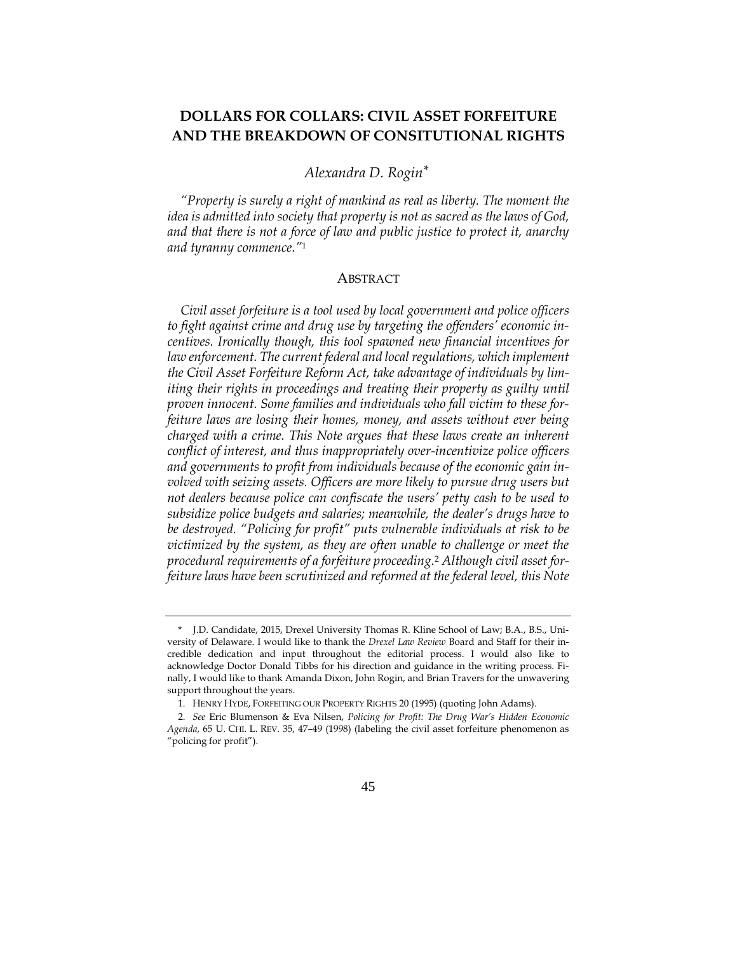# **DOLLARS FOR COLLARS: CIVIL ASSET FORFEITURE AND THE BREAKDOWN OF CONSITUTIONAL RIGHTS**

## *Alexandra D. Rogin\*\**

*"Property is surely a right of mankind as real as liberty. The moment the idea is admitted into society that property is not as sacred as the laws of God, and that there is not a force of law and public justice to protect it, anarchy and tyranny commence."*<sup>1</sup>

#### ABSTRACT

*Civil asset forfeiture is a tool used by local government and police officers to fight against crime and drug use by targeting the offenders' economic incentives. Ironically though, this tool spawned new financial incentives for*  law enforcement. The current federal and local regulations, which implement *the Civil Asset Forfeiture Reform Act, take advantage of individuals by limiting their rights in proceedings and treating their property as guilty until proven innocent. Some families and individuals who fall victim to these forfeiture laws are losing their homes, money, and assets without ever being charged with a crime. This Note argues that these laws create an inherent conflict of interest, and thus inappropriately over-incentivize police officers and governments to profit from individuals because of the economic gain involved with seizing assets. Officers are more likely to pursue drug users but not dealers because police can confiscate the users' petty cash to be used to subsidize police budgets and salaries; meanwhile, the dealer's drugs have to be destroyed. "Policing for profit" puts vulnerable individuals at risk to be victimized by the system, as they are often unable to challenge or meet the procedural requirements of a forfeiture proceeding.*<sup>2</sup> *Although civil asset forfeiture laws have been scrutinized and reformed at the federal level, this Note* 

<sup>\*</sup>- J.D. Candidate, 2015, Drexel University Thomas R. Kline School of Law; B.A., B.S., University of Delaware. I would like to thank the *Drexel Law Review* Board and Staff for their incredible dedication and input throughout the editorial process. I would also like to acknowledge Doctor Donald Tibbs for his direction and guidance in the writing process. Finally, I would like to thank Amanda Dixon, John Rogin, and Brian Travers for the unwavering support throughout the years.

<sup>1.</sup> HENRY HYDE, FORFEITING OUR PROPERTY RIGHTS 20 (1995) (quoting John Adams).

<sup>2.</sup> *See* Eric Blumenson & Eva Nilsen, *Policing for Profit: The Drug War's Hidden Economic Agenda*, 65 U. CHI. L. REV. 35, 47–49 (1998) (labeling the civil asset forfeiture phenomenon as "policing for profit").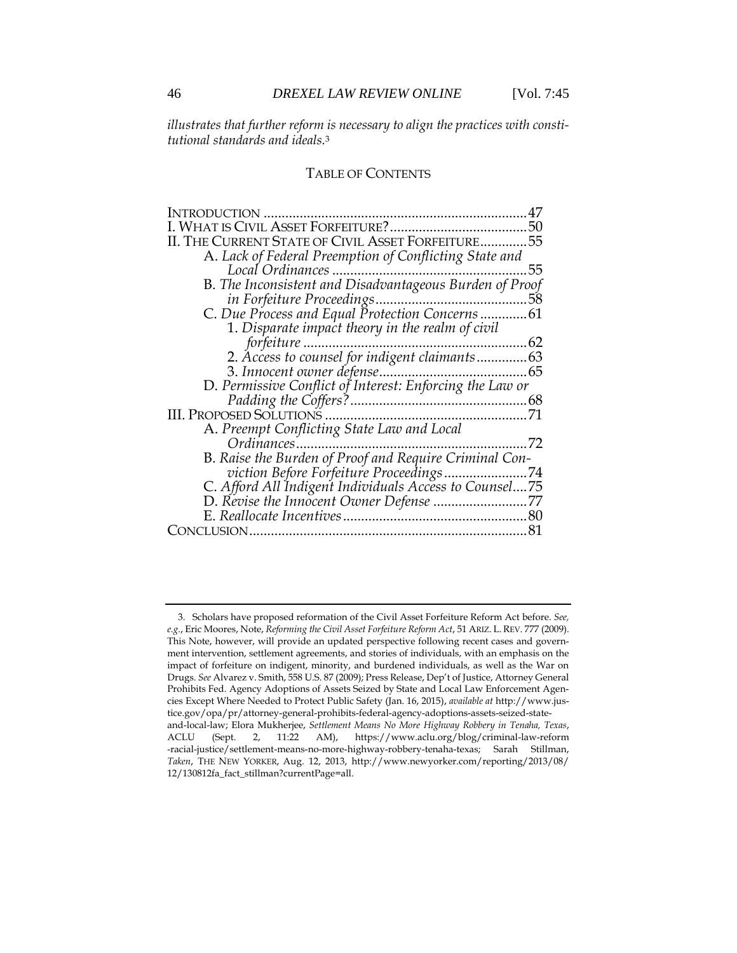*illustrates that further reform is necessary to align the practices with constitutional standards and ideals.*<sup>3</sup>

### TABLE OF CONTENTS

| <b>INTRODUCTION</b><br>                                  |    |
|----------------------------------------------------------|----|
| WHAT IS CIVIL ASSET FORFEITURE?                          | 50 |
| THE CURRENT STATE OF CIVIL ASSET FORFEITURE55            |    |
| A. Lack of Federal Preemption of Conflicting State and   |    |
|                                                          | 55 |
| B. The Inconsistent and Disadvantageous Burden of Proof  |    |
|                                                          |    |
| C. Due Process and Equal Protection Concerns61           |    |
| 1. Disparate impact theory in the realm of civil         |    |
| forfeiture                                               |    |
| 2. Access to counsel for indigent claimants63            |    |
| 3. Innocent owner defense<br>65                          |    |
| D. Permissive Conflict of Interest: Enforcing the Law or |    |
|                                                          |    |
|                                                          |    |
| A. Preempt Conflicting State Law and Local               |    |
| Ordinances                                               | 72 |
| B. Raise the Burden of Proof and Require Criminal Con-   |    |
|                                                          |    |
| C. Afford All Indigent Individuals Access to Counsel75   |    |
|                                                          |    |
|                                                          |    |
| JCLUSION.                                                |    |

<sup>3.</sup> Scholars have proposed reformation of the Civil Asset Forfeiture Reform Act before. *See, e.g.*, Eric Moores, Note, *Reforming the Civil Asset Forfeiture Reform Act*, 51 ARIZ. L. REV. 777 (2009). This Note, however, will provide an updated perspective following recent cases and government intervention, settlement agreements, and stories of individuals, with an emphasis on the impact of forfeiture on indigent, minority, and burdened individuals, as well as the War on Drugs. *See* Alvarez v. Smith, 558 U.S. 87 (2009); Press Release, Dep't of Justice, Attorney General Prohibits Fed. Agency Adoptions of Assets Seized by State and Local Law Enforcement Agencies Except Where Needed to Protect Public Safety (Jan. 16, 2015), *available at* http://www.justice.gov/opa/pr/attorney-general-prohibits-federal-agency-adoptions-assets-seized-stateand-local-law; Elora Mukherjee, *Settlement Means No More Highway Robbery in Tenaha, Texas*, ACLU (Sept. 2, 11:22 AM), https://www.aclu.org/blog/criminal-law-reform

<sup>-</sup>racial-justice/settlement-means-no-more-highway-robbery-tenaha-texas; Sarah Stillman, *Taken*, THE NEW YORKER, Aug. 12, 2013, http://www.newyorker.com/reporting/2013/08/ 12/130812fa\_fact\_stillman?currentPage=all.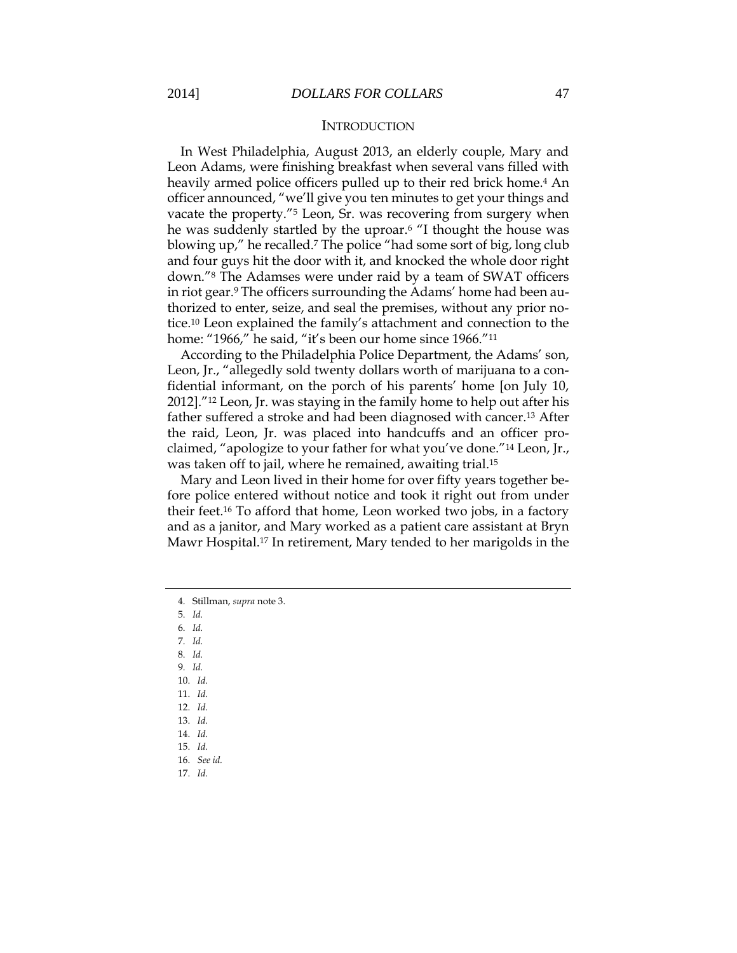#### **INTRODUCTION**

In West Philadelphia, August 2013, an elderly couple, Mary and Leon Adams, were finishing breakfast when several vans filled with heavily armed police officers pulled up to their red brick home.<sup>4</sup> An officer announced, "we'll give you ten minutes to get your things and vacate the property."<sup>5</sup> Leon, Sr. was recovering from surgery when he was suddenly startled by the uproar.<sup>6</sup> "I thought the house was blowing up," he recalled.<sup>7</sup> The police "had some sort of big, long club and four guys hit the door with it, and knocked the whole door right down."<sup>8</sup> The Adamses were under raid by a team of SWAT officers in riot gear.<sup>9</sup> The officers surrounding the Adams' home had been authorized to enter, seize, and seal the premises, without any prior notice.<sup>10</sup> Leon explained the family's attachment and connection to the home: "1966," he said, "it's been our home since 1966."<sup>11</sup>

According to the Philadelphia Police Department, the Adams' son, Leon, Jr., "allegedly sold twenty dollars worth of marijuana to a confidential informant, on the porch of his parents' home [on July 10, 2012]."<sup>12</sup> Leon, Jr. was staying in the family home to help out after his father suffered a stroke and had been diagnosed with cancer.<sup>13</sup> After the raid, Leon, Jr. was placed into handcuffs and an officer proclaimed, "apologize to your father for what you've done."<sup>14</sup> Leon, Jr., was taken off to jail, where he remained, awaiting trial.<sup>15</sup>

Mary and Leon lived in their home for over fifty years together before police entered without notice and took it right out from under their feet.<sup>16</sup> To afford that home, Leon worked two jobs, in a factory and as a janitor, and Mary worked as a patient care assistant at Bryn Mawr Hospital.<sup>17</sup> In retirement, Mary tended to her marigolds in the

5. *Id.*

6. *Id.*

7. *Id.*

8. *Id.* 9. *Id.*

10. *Id.*

11. *Id.*

12. *Id.*

13. *Id.*

14. *Id.*

15. *Id.*

16. *See id.*

17. *Id.*

<sup>4.</sup> Stillman, *supra* note 3.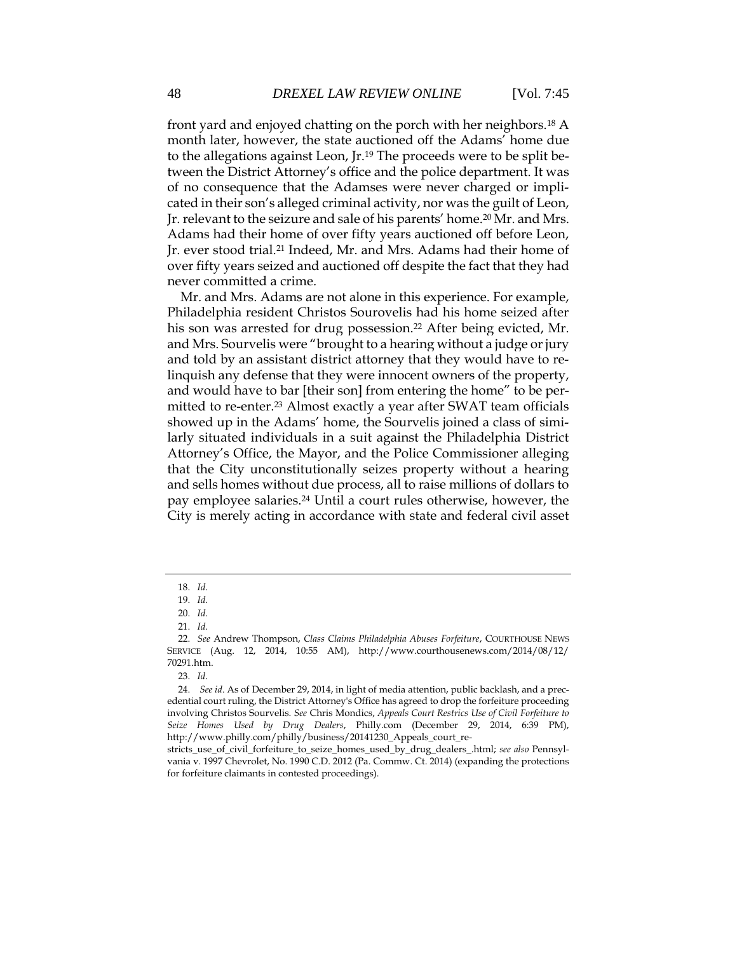front yard and enjoyed chatting on the porch with her neighbors.<sup>18</sup> A month later, however, the state auctioned off the Adams' home due to the allegations against Leon, Jr.<sup>19</sup> The proceeds were to be split between the District Attorney's office and the police department. It was of no consequence that the Adamses were never charged or implicated in their son's alleged criminal activity, nor was the guilt of Leon, Jr. relevant to the seizure and sale of his parents' home.<sup>20</sup> Mr. and Mrs. Adams had their home of over fifty years auctioned off before Leon, Jr. ever stood trial.<sup>21</sup> Indeed, Mr. and Mrs. Adams had their home of over fifty years seized and auctioned off despite the fact that they had never committed a crime.

Mr. and Mrs. Adams are not alone in this experience. For example, Philadelphia resident Christos Sourovelis had his home seized after his son was arrested for drug possession.<sup>22</sup> After being evicted, Mr. and Mrs. Sourvelis were "brought to a hearing without a judge or jury and told by an assistant district attorney that they would have to relinquish any defense that they were innocent owners of the property, and would have to bar [their son] from entering the home" to be permitted to re-enter. <sup>23</sup> Almost exactly a year after SWAT team officials showed up in the Adams' home, the Sourvelis joined a class of similarly situated individuals in a suit against the Philadelphia District Attorney's Office, the Mayor, and the Police Commissioner alleging that the City unconstitutionally seizes property without a hearing and sells homes without due process, all to raise millions of dollars to pay employee salaries.<sup>24</sup> Until a court rules otherwise, however, the City is merely acting in accordance with state and federal civil asset

<sup>18.</sup> *Id.*

<sup>19.</sup> *Id.*

<sup>20.</sup> *Id.*

<sup>21.</sup> *Id.*

<sup>22.</sup> *See* Andrew Thompson, *Class Claims Philadelphia Abuses Forfeiture*, COURTHOUSE NEWS SERVICE (Aug. 12, 2014, 10:55 AM), http://www.courthousenews.com/2014/08/12/ 70291.htm.

<sup>23.</sup> *Id*.

<sup>24.</sup> *See id*. As of December 29, 2014, in light of media attention, public backlash, and a precedential court ruling, the District Attorney's Office has agreed to drop the forfeiture proceeding involving Christos Sourvelis. *See* Chris Mondics, *Appeals Court Restrics Use of Civil Forfeiture to Seize Homes Used by Drug Dealers*, Philly.com (December 29, 2014, 6:39 PM), http://www.philly.com/philly/business/20141230\_Appeals\_court\_re-

stricts\_use\_of\_civil\_forfeiture\_to\_seize\_homes\_used\_by\_drug\_dealers\_.html; *see also* Pennsylvania v. 1997 Chevrolet, No. 1990 C.D. 2012 (Pa. Commw. Ct. 2014) (expanding the protections for forfeiture claimants in contested proceedings).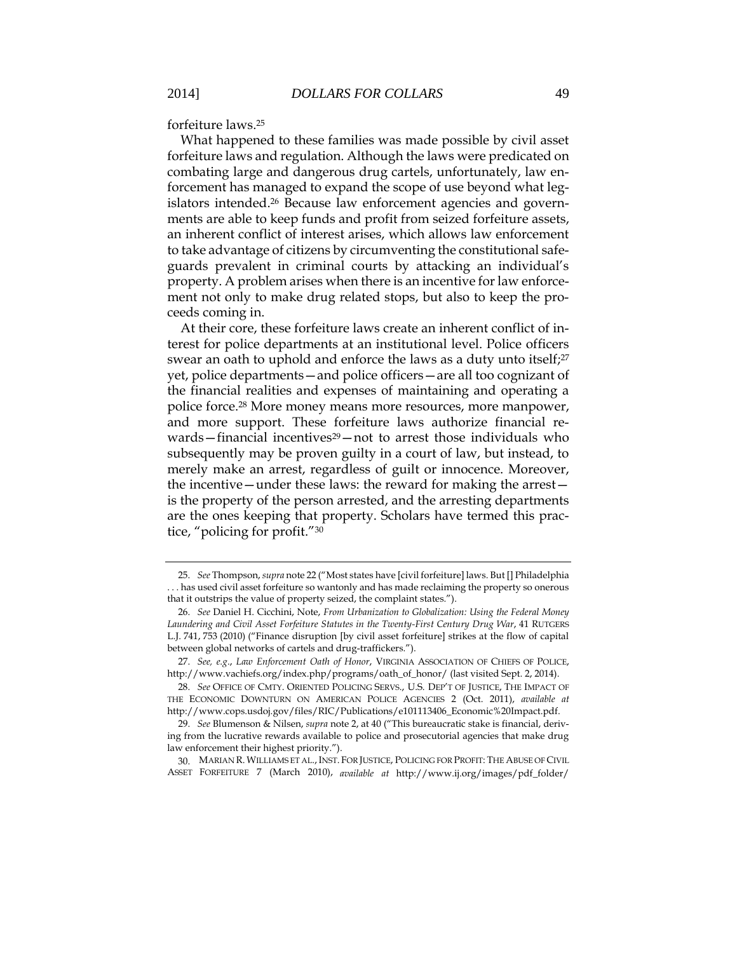forfeiture laws.<sup>25</sup>

What happened to these families was made possible by civil asset forfeiture laws and regulation. Although the laws were predicated on combating large and dangerous drug cartels, unfortunately, law enforcement has managed to expand the scope of use beyond what legislators intended.<sup>26</sup> Because law enforcement agencies and governments are able to keep funds and profit from seized forfeiture assets, an inherent conflict of interest arises, which allows law enforcement to take advantage of citizens by circumventing the constitutional safeguards prevalent in criminal courts by attacking an individual's property. A problem arises when there is an incentive for law enforcement not only to make drug related stops, but also to keep the proceeds coming in.

At their core, these forfeiture laws create an inherent conflict of interest for police departments at an institutional level. Police officers swear an oath to uphold and enforce the laws as a duty unto itself; 27 yet, police departments—and police officers—are all too cognizant of the financial realities and expenses of maintaining and operating a police force.<sup>28</sup> More money means more resources, more manpower, and more support. These forfeiture laws authorize financial rewards—financial incentives<sup>29</sup>—not to arrest those individuals who subsequently may be proven guilty in a court of law, but instead, to merely make an arrest, regardless of guilt or innocence. Moreover, the incentive—under these laws: the reward for making the arrest is the property of the person arrested, and the arresting departments are the ones keeping that property. Scholars have termed this practice, "policing for profit."<sup>30</sup>

<sup>25.</sup> *See* Thompson, *supra* note 22 ("Most states have [civil forfeiture] laws. But [] Philadelphia . . . has used civil asset forfeiture so wantonly and has made reclaiming the property so onerous that it outstrips the value of property seized, the complaint states.").

<sup>26.</sup> *See* Daniel H. Cicchini, Note, *From Urbanization to Globalization: Using the Federal Money Laundering and Civil Asset Forfeiture Statutes in the Twenty-First Century Drug War*, 41 RUTGERS L.J. 741, 753 (2010) ("Finance disruption [by civil asset forfeiture] strikes at the flow of capital between global networks of cartels and drug-traffickers.").

<sup>27.</sup> *See, e.g*., *Law Enforcement Oath of Honor*, VIRGINIA ASSOCIATION OF CHIEFS OF POLICE, http://www.vachiefs.org/index.php/programs/oath\_of\_honor/ (last visited Sept. 2, 2014).

<sup>28.</sup> *See* OFFICE OF CMTY. ORIENTED POLICING SERVS., U.S. DEP'T OF JUSTICE, THE IMPACT OF THE ECONOMIC DOWNTURN ON AMERICAN POLICE AGENCIES 2 (Oct. 2011), *available at* http://www.cops.usdoj.gov/files/RIC/Publications/e101113406\_Economic%20Impact.pdf.

<sup>29.</sup> *See* Blumenson & Nilsen, *supra* note 2, at 40 ("This bureaucratic stake is financial, deriving from the lucrative rewards available to police and prosecutorial agencies that make drug law enforcement their highest priority.").

<sup>30.</sup> MARIAN R. WILLIAMS ET AL.,INST. FOR JUSTICE, POLICING FOR PROFIT: THE ABUSE OF CIVIL ASSET FORFEITURE 7 (March 2010), *available at* http://www.ij.org/images/pdf\_folder/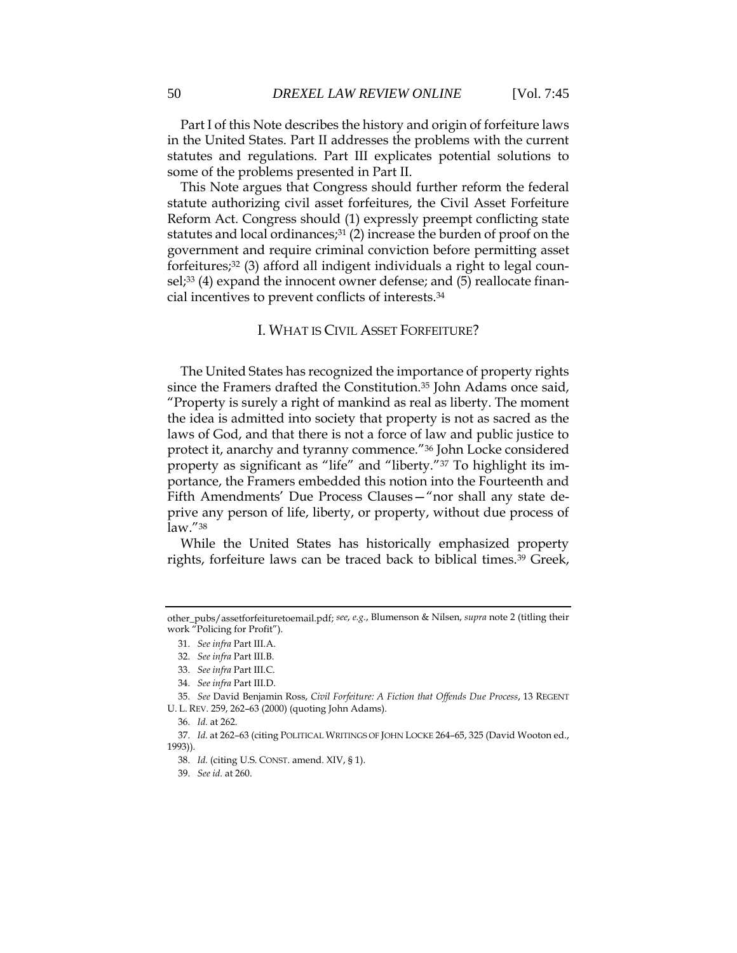Part I of this Note describes the history and origin of forfeiture laws in the United States. Part II addresses the problems with the current statutes and regulations. Part III explicates potential solutions to some of the problems presented in Part II.

This Note argues that Congress should further reform the federal statute authorizing civil asset forfeitures, the Civil Asset Forfeiture Reform Act. Congress should (1) expressly preempt conflicting state statutes and local ordinances;<sup>31</sup> (2) increase the burden of proof on the government and require criminal conviction before permitting asset forfeitures;<sup>32</sup> (3) afford all indigent individuals a right to legal counsel;<sup>33</sup> (4) expand the innocent owner defense; and (5) reallocate financial incentives to prevent conflicts of interests.<sup>34</sup>

### I. WHAT IS CIVIL ASSET FORFEITURE?

The United States has recognized the importance of property rights since the Framers drafted the Constitution.<sup>35</sup> John Adams once said, "Property is surely a right of mankind as real as liberty. The moment the idea is admitted into society that property is not as sacred as the laws of God, and that there is not a force of law and public justice to protect it, anarchy and tyranny commence."<sup>36</sup> John Locke considered property as significant as "life" and "liberty."<sup>37</sup> To highlight its importance, the Framers embedded this notion into the Fourteenth and Fifth Amendments' Due Process Clauses—"nor shall any state deprive any person of life, liberty, or property, without due process of law."<sup>38</sup>

While the United States has historically emphasized property rights, forfeiture laws can be traced back to biblical times.<sup>39</sup> Greek,

other\_pubs/assetforfeituretoemail.pdf; *see*, *e.g.*, Blumenson & Nilsen, *supra* note 2 (titling their work "Policing for Profit").

<sup>31.</sup> *See infra* Part III.A.

<sup>32.</sup> *See infra* Part III.B.

<sup>33.</sup> *See infra* Part III.C.

<sup>34.</sup> *See infra* Part III.D.

<sup>35.</sup> *See* David Benjamin Ross, *Civil Forfeiture: A Fiction that Offends Due Process*, 13 REGENT U. L. REV. 259, 262–63 (2000) (quoting John Adams).

<sup>36.</sup> *Id.* at 262.

<sup>37.</sup> *Id.* at 262–63 (citing POLITICAL WRITINGS OF JOHN LOCKE 264–65, 325 (David Wooton ed., 1993)).

<sup>38.</sup> *Id.* (citing U.S. CONST. amend. XIV, § 1).

<sup>39.</sup> *See id.* at 260.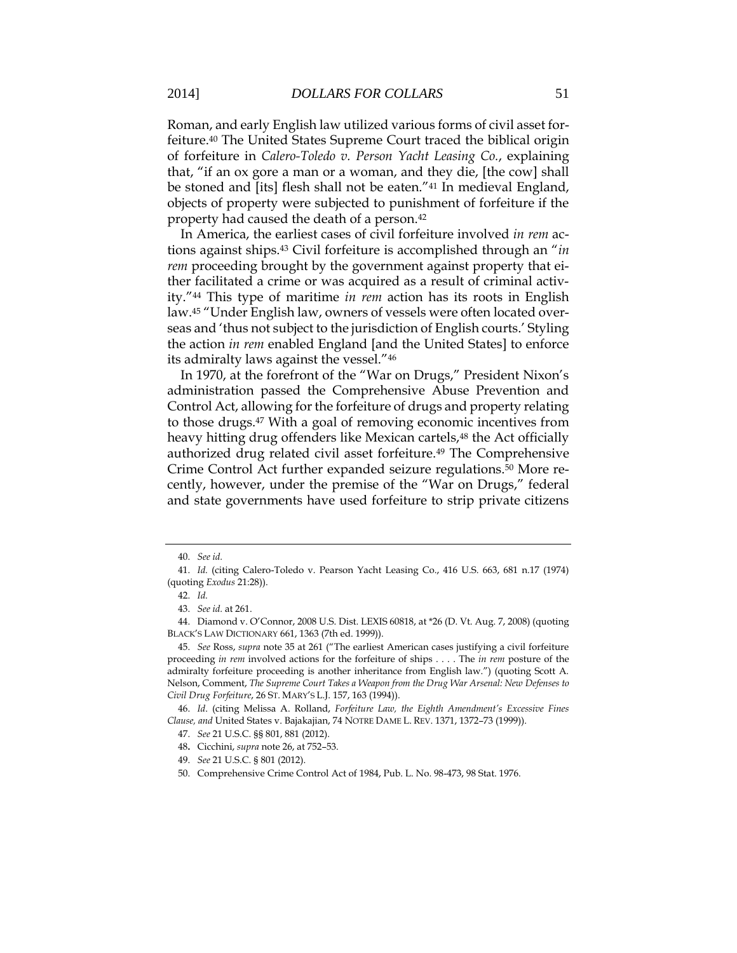Roman, and early English law utilized various forms of civil asset forfeiture.<sup>40</sup> The United States Supreme Court traced the biblical origin of forfeiture in *Calero-Toledo v. Person Yacht Leasing Co.*, explaining that, "if an ox gore a man or a woman, and they die, [the cow] shall be stoned and [its] flesh shall not be eaten."<sup>41</sup> In medieval England, objects of property were subjected to punishment of forfeiture if the property had caused the death of a person.<sup>42</sup>

In America, the earliest cases of civil forfeiture involved *in rem* actions against ships.<sup>43</sup> Civil forfeiture is accomplished through an "*in rem* proceeding brought by the government against property that either facilitated a crime or was acquired as a result of criminal activity."<sup>44</sup> This type of maritime *in rem* action has its roots in English law.<sup>45</sup> "Under English law, owners of vessels were often located overseas and 'thus not subject to the jurisdiction of English courts.' Styling the action *in rem* enabled England [and the United States] to enforce its admiralty laws against the vessel."<sup>46</sup>

In 1970, at the forefront of the "War on Drugs," President Nixon's administration passed the Comprehensive Abuse Prevention and Control Act, allowing for the forfeiture of drugs and property relating to those drugs.<sup>47</sup> With a goal of removing economic incentives from heavy hitting drug offenders like Mexican cartels,<sup>48</sup> the Act officially authorized drug related civil asset forfeiture.<sup>49</sup> The Comprehensive Crime Control Act further expanded seizure regulations.<sup>50</sup> More recently, however, under the premise of the "War on Drugs," federal and state governments have used forfeiture to strip private citizens

<sup>40.</sup> *See id.*

<sup>41.</sup> *Id.* (citing Calero-Toledo v. Pearson Yacht Leasing Co., 416 U.S. 663, 681 n.17 (1974) (quoting *Exodus* 21:28)).

<sup>42.</sup> *Id.*

<sup>43.</sup> *See id.* at 261.

<sup>44.</sup> Diamond v. O'Connor, 2008 U.S. Dist. LEXIS 60818, at \*26 (D. Vt. Aug. 7, 2008) (quoting BLACK'S LAW DICTIONARY 661, 1363 (7th ed. 1999)).

<sup>45.</sup> *See* Ross, *supra* note 35 at 261 ("The earliest American cases justifying a civil forfeiture proceeding *in rem* involved actions for the forfeiture of ships . . . . The *in rem* posture of the admiralty forfeiture proceeding is another inheritance from English law.") (quoting Scott A. Nelson, Comment, *The Supreme Court Takes a Weapon from the Drug War Arsenal: New Defenses to Civil Drug Forfeiture*, 26 ST. MARY'S L.J. 157, 163 (1994)).

<sup>46.</sup> *Id*. (citing Melissa A. Rolland, *Forfeiture Law, the Eighth Amendment's Excessive Fines Clause, and* United States v. Bajakajian, 74 NOTRE DAME L. REV. 1371, 1372–73 (1999)).

<sup>47.</sup> *See* 21 U.S.C. §§ 801, 881 (2012).

<sup>48</sup>**.** Cicchini, *supra* note 26, at 752–53.

<sup>49.</sup> *See* 21 U.S.C. § 801 (2012).

<sup>50.</sup> Comprehensive Crime Control Act of 1984, Pub. L. No. 98-473, 98 Stat. 1976.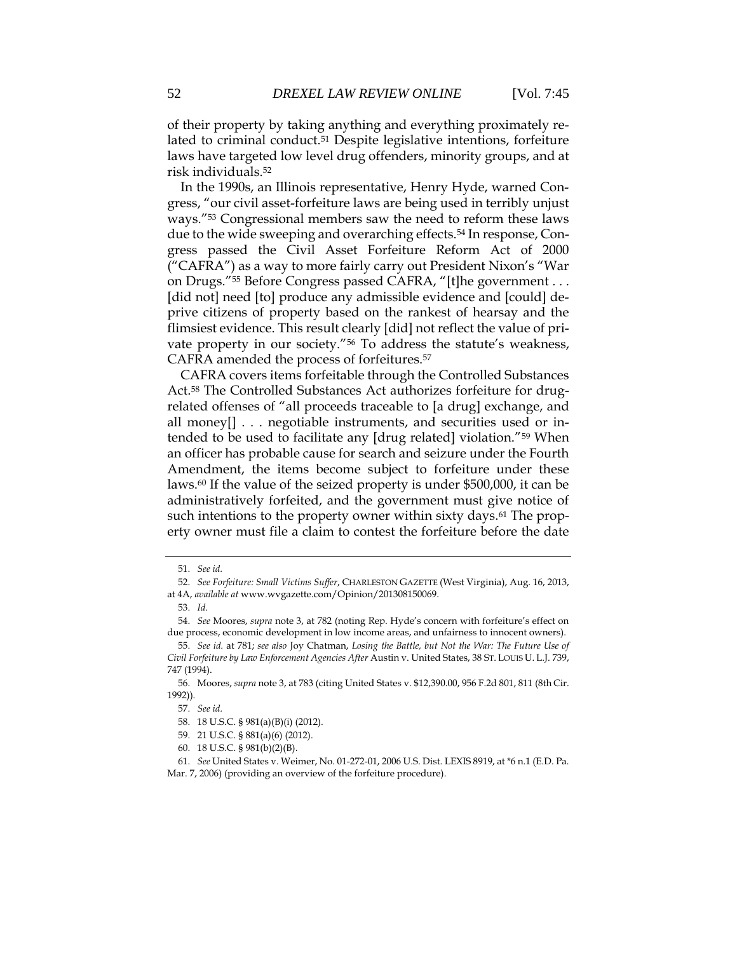of their property by taking anything and everything proximately related to criminal conduct.<sup>51</sup> Despite legislative intentions, forfeiture laws have targeted low level drug offenders, minority groups, and at risk individuals.<sup>52</sup>

In the 1990s, an Illinois representative, Henry Hyde, warned Congress, "our civil asset-forfeiture laws are being used in terribly unjust ways."<sup>53</sup> Congressional members saw the need to reform these laws due to the wide sweeping and overarching effects.<sup>54</sup> In response, Congress passed the Civil Asset Forfeiture Reform Act of 2000 ("CAFRA") as a way to more fairly carry out President Nixon's "War on Drugs."<sup>55</sup> Before Congress passed CAFRA, "[t]he government . . . [did not] need [to] produce any admissible evidence and [could] deprive citizens of property based on the rankest of hearsay and the flimsiest evidence. This result clearly [did] not reflect the value of private property in our society."<sup>56</sup> To address the statute's weakness, CAFRA amended the process of forfeitures.<sup>57</sup>

CAFRA covers items forfeitable through the Controlled Substances Act.<sup>58</sup> The Controlled Substances Act authorizes forfeiture for drugrelated offenses of "all proceeds traceable to [a drug] exchange, and all money[] . . . negotiable instruments, and securities used or intended to be used to facilitate any [drug related] violation."<sup>59</sup> When an officer has probable cause for search and seizure under the Fourth Amendment, the items become subject to forfeiture under these laws.<sup>60</sup> If the value of the seized property is under \$500,000, it can be administratively forfeited, and the government must give notice of such intentions to the property owner within sixty days.<sup>61</sup> The property owner must file a claim to contest the forfeiture before the date

<sup>51.</sup> *See id.*

<sup>52.</sup> *See Forfeiture: Small Victims Suffer*, CHARLESTON GAZETTE (West Virginia), Aug. 16, 2013, at 4A, *available at* www.wvgazette.com/Opinion/201308150069.

<sup>53.</sup> *Id.*

<sup>54.</sup> *See* Moores, *supra* note 3, at 782 (noting Rep. Hyde's concern with forfeiture's effect on due process, economic development in low income areas, and unfairness to innocent owners).

<sup>55.</sup> *See id.* at 781; *see also* Joy Chatman, *Losing the Battle, but Not the War: The Future Use of Civil Forfeiture by Law Enforcement Agencies After* Austin v. United States, 38 ST. LOUIS U. L.J. 739, 747 (1994).

<sup>56.</sup> Moores, *supra* note 3, at 783 (citing United States v. \$12,390.00, 956 F.2d 801, 811 (8th Cir. 1992)).

<sup>57.</sup> *See id.*

<sup>58.</sup> 18 U.S.C. § 981(a)(B)(i) (2012).

<sup>59.</sup> 21 U.S.C. § 881(a)(6) (2012).

<sup>60.</sup> 18 U.S.C. § 981(b)(2)(B).

<sup>61.</sup> *See* United States v. Weimer, No. 01-272-01, 2006 U.S. Dist. LEXIS 8919, at \*6 n.1 (E.D. Pa. Mar. 7, 2006) (providing an overview of the forfeiture procedure).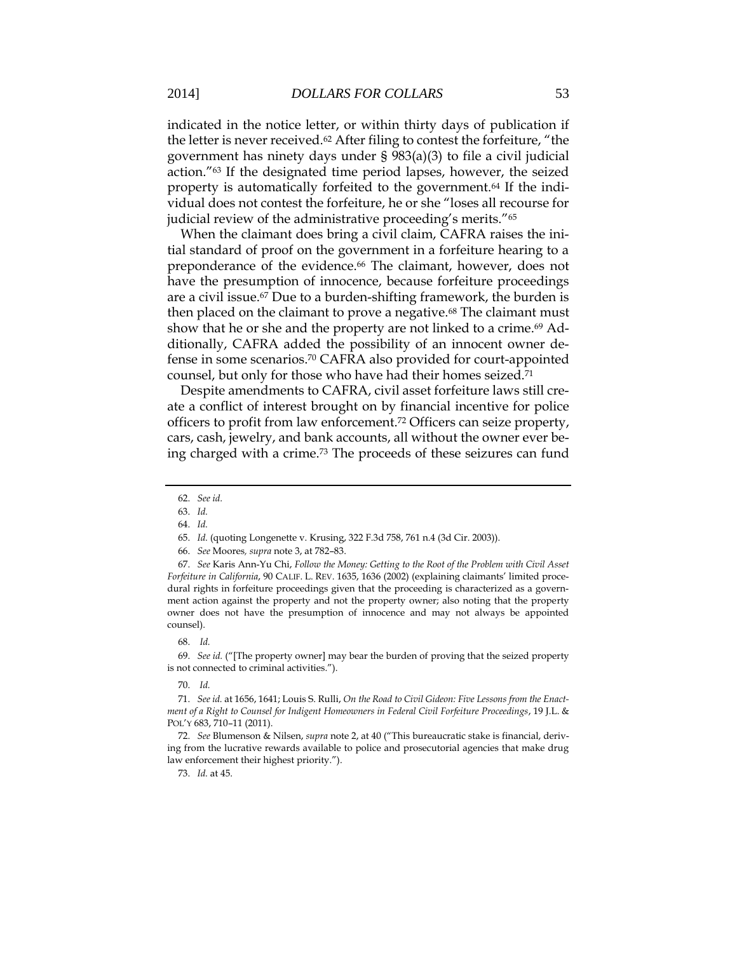indicated in the notice letter, or within thirty days of publication if the letter is never received.<sup>62</sup> After filing to contest the forfeiture, "the government has ninety days under § 983(a)(3) to file a civil judicial action."<sup>63</sup> If the designated time period lapses, however, the seized property is automatically forfeited to the government.<sup>64</sup> If the individual does not contest the forfeiture, he or she "loses all recourse for judicial review of the administrative proceeding's merits."<sup>65</sup>

When the claimant does bring a civil claim, CAFRA raises the initial standard of proof on the government in a forfeiture hearing to a preponderance of the evidence.<sup>66</sup> The claimant, however, does not have the presumption of innocence, because forfeiture proceedings are a civil issue.<sup>67</sup> Due to a burden-shifting framework, the burden is then placed on the claimant to prove a negative.<sup>68</sup> The claimant must show that he or she and the property are not linked to a crime.<sup>69</sup> Additionally, CAFRA added the possibility of an innocent owner defense in some scenarios. <sup>70</sup> CAFRA also provided for court-appointed counsel, but only for those who have had their homes seized.<sup>71</sup>

Despite amendments to CAFRA, civil asset forfeiture laws still create a conflict of interest brought on by financial incentive for police officers to profit from law enforcement.<sup>72</sup> Officers can seize property, cars, cash, jewelry, and bank accounts, all without the owner ever being charged with a crime.<sup>73</sup> The proceeds of these seizures can fund

#### 68. *Id.*

69. *See id.* ("[The property owner] may bear the burden of proving that the seized property is not connected to criminal activities.").

#### 70. *Id.*

<sup>62.</sup> *See id.*

<sup>63.</sup> *Id.*

<sup>64.</sup> *Id.*

<sup>65.</sup> *Id.* (quoting Longenette v. Krusing, 322 F.3d 758, 761 n.4 (3d Cir. 2003)).

<sup>66.</sup> *See* Moores*, supra* note 3, at 782–83.

<sup>67.</sup> *See* Karis Ann-Yu Chi, *Follow the Money: Getting to the Root of the Problem with Civil Asset Forfeiture in California*, 90 CALIF. L. REV. 1635, 1636 (2002) (explaining claimants' limited procedural rights in forfeiture proceedings given that the proceeding is characterized as a government action against the property and not the property owner; also noting that the property owner does not have the presumption of innocence and may not always be appointed counsel).

<sup>71.</sup> *See id.* at 1656, 1641; Louis S. Rulli, *On the Road to Civil Gideon: Five Lessons from the Enactment of a Right to Counsel for Indigent Homeowners in Federal Civil Forfeiture Proceedings*, 19 J.L. & POL'Y 683, 710–11 (2011).

<sup>72.</sup> *See* Blumenson & Nilsen, *supra* note 2, at 40 ("This bureaucratic stake is financial, deriving from the lucrative rewards available to police and prosecutorial agencies that make drug law enforcement their highest priority.").

<sup>73.</sup> *Id.* at 45.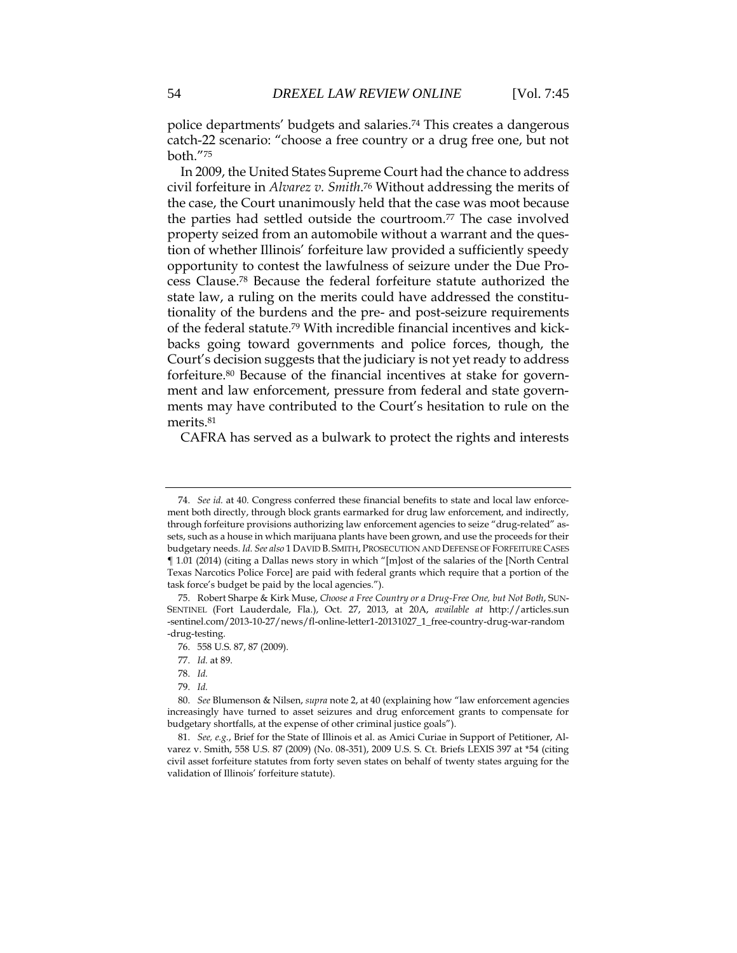police departments' budgets and salaries.<sup>74</sup> This creates a dangerous catch-22 scenario: "choose a free country or a drug free one, but not both."<sup>75</sup>

In 2009, the United States Supreme Court had the chance to address civil forfeiture in *Alvarez v. Smith*. <sup>76</sup> Without addressing the merits of the case, the Court unanimously held that the case was moot because the parties had settled outside the courtroom.<sup>77</sup> The case involved property seized from an automobile without a warrant and the question of whether Illinois' forfeiture law provided a sufficiently speedy opportunity to contest the lawfulness of seizure under the Due Process Clause.<sup>78</sup> Because the federal forfeiture statute authorized the state law, a ruling on the merits could have addressed the constitutionality of the burdens and the pre- and post-seizure requirements of the federal statute.<sup>79</sup> With incredible financial incentives and kickbacks going toward governments and police forces, though, the Court's decision suggests that the judiciary is not yet ready to address forfeiture.<sup>80</sup> Because of the financial incentives at stake for government and law enforcement, pressure from federal and state governments may have contributed to the Court's hesitation to rule on the merits.<sup>81</sup>

CAFRA has served as a bulwark to protect the rights and interests

<sup>74.</sup> *See id.* at 40. Congress conferred these financial benefits to state and local law enforcement both directly, through block grants earmarked for drug law enforcement, and indirectly, through forfeiture provisions authorizing law enforcement agencies to seize "drug-related" assets, such as a house in which marijuana plants have been grown, and use the proceeds for their budgetary needs. *Id. See also* 1 DAVID B. SMITH, PROSECUTION AND DEFENSE OF FORFEITURE CASES ¶ 1.01 (2014) (citing a Dallas news story in which "[m]ost of the salaries of the [North Central Texas Narcotics Police Force] are paid with federal grants which require that a portion of the task force's budget be paid by the local agencies.").

<sup>75.</sup> Robert Sharpe & Kirk Muse, *Choose a Free Country or a Drug-Free One, but Not Both*, SUN-SENTINEL (Fort Lauderdale, Fla.), Oct. 27, 2013, at 20A, *available at* http://articles.sun -sentinel.com/2013-10-27/news/fl-online-letter1-20131027\_1\_free-country-drug-war-random -drug-testing.

<sup>76.</sup> 558 U.S. 87, 87 (2009).

<sup>77.</sup> *Id.* at 89.

<sup>78.</sup> *Id.*

<sup>79.</sup> *Id.*

<sup>80.</sup> *See* Blumenson & Nilsen, *supra* note 2, at 40 (explaining how "law enforcement agencies increasingly have turned to asset seizures and drug enforcement grants to compensate for budgetary shortfalls, at the expense of other criminal justice goals").

<sup>81.</sup> *See, e.g.*, Brief for the State of Illinois et al. as Amici Curiae in Support of Petitioner, Alvarez v. Smith, 558 U.S. 87 (2009) (No. 08-351), 2009 U.S. S. Ct. Briefs LEXIS 397 at \*54 (citing civil asset forfeiture statutes from forty seven states on behalf of twenty states arguing for the validation of Illinois' forfeiture statute).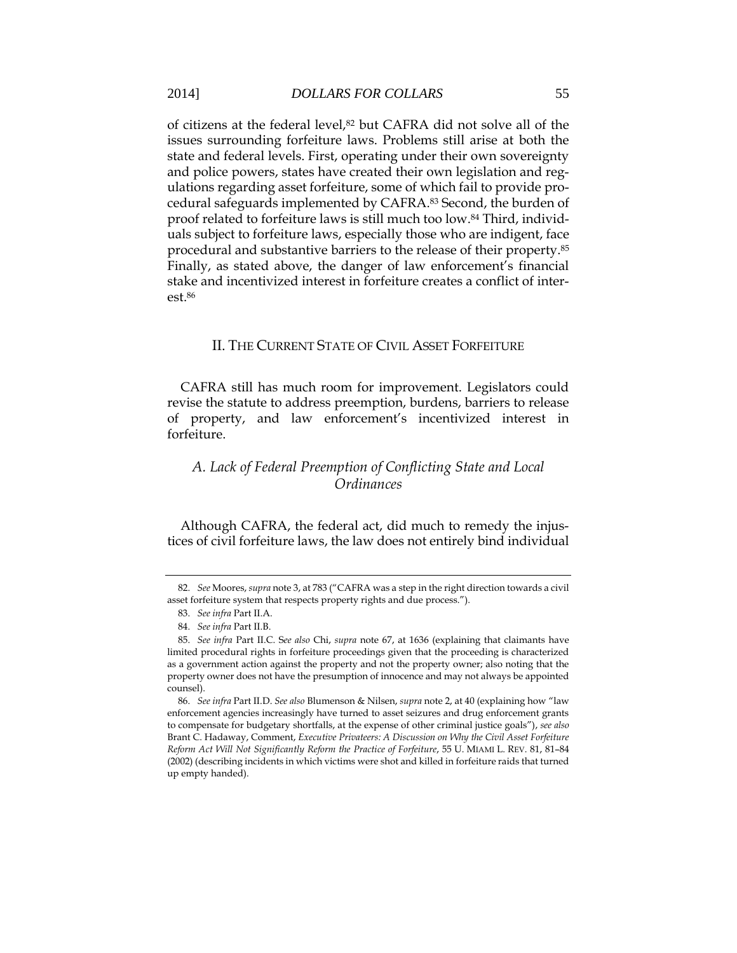of citizens at the federal level,<sup>82</sup> but CAFRA did not solve all of the issues surrounding forfeiture laws. Problems still arise at both the state and federal levels. First, operating under their own sovereignty and police powers, states have created their own legislation and regulations regarding asset forfeiture, some of which fail to provide procedural safeguards implemented by CAFRA.<sup>83</sup> Second, the burden of proof related to forfeiture laws is still much too low.<sup>84</sup> Third, individuals subject to forfeiture laws, especially those who are indigent, face procedural and substantive barriers to the release of their property. 85 Finally, as stated above, the danger of law enforcement's financial stake and incentivized interest in forfeiture creates a conflict of interest.<sup>86</sup>

### II. THE CURRENT STATE OF CIVIL ASSET FORFEITURE

CAFRA still has much room for improvement. Legislators could revise the statute to address preemption, burdens, barriers to release of property, and law enforcement's incentivized interest in forfeiture.

## *A. Lack of Federal Preemption of Conflicting State and Local Ordinances*

Although CAFRA, the federal act, did much to remedy the injustices of civil forfeiture laws, the law does not entirely bind individual

<sup>82.</sup> *See* Moores, *supra* note 3, at 783 ("CAFRA was a step in the right direction towards a civil asset forfeiture system that respects property rights and due process.").

<sup>83.</sup> *See infra* Part II.A.

<sup>84.</sup> *See infra* Part II.B.

<sup>85.</sup> *See infra* Part II.C. S*ee also* Chi, *supra* note 67, at 1636 (explaining that claimants have limited procedural rights in forfeiture proceedings given that the proceeding is characterized as a government action against the property and not the property owner; also noting that the property owner does not have the presumption of innocence and may not always be appointed counsel).

<sup>86.</sup> *See infra* Part II.D. *See also* Blumenson & Nilsen, *supra* note 2, at 40 (explaining how "law enforcement agencies increasingly have turned to asset seizures and drug enforcement grants to compensate for budgetary shortfalls, at the expense of other criminal justice goals"), *see also* Brant C. Hadaway, Comment, *Executive Privateers: A Discussion on Why the Civil Asset Forfeiture Reform Act Will Not Significantly Reform the Practice of Forfeiture*, 55 U. MIAMI L. REV. 81, 81–84 (2002) (describing incidents in which victims were shot and killed in forfeiture raids that turned up empty handed).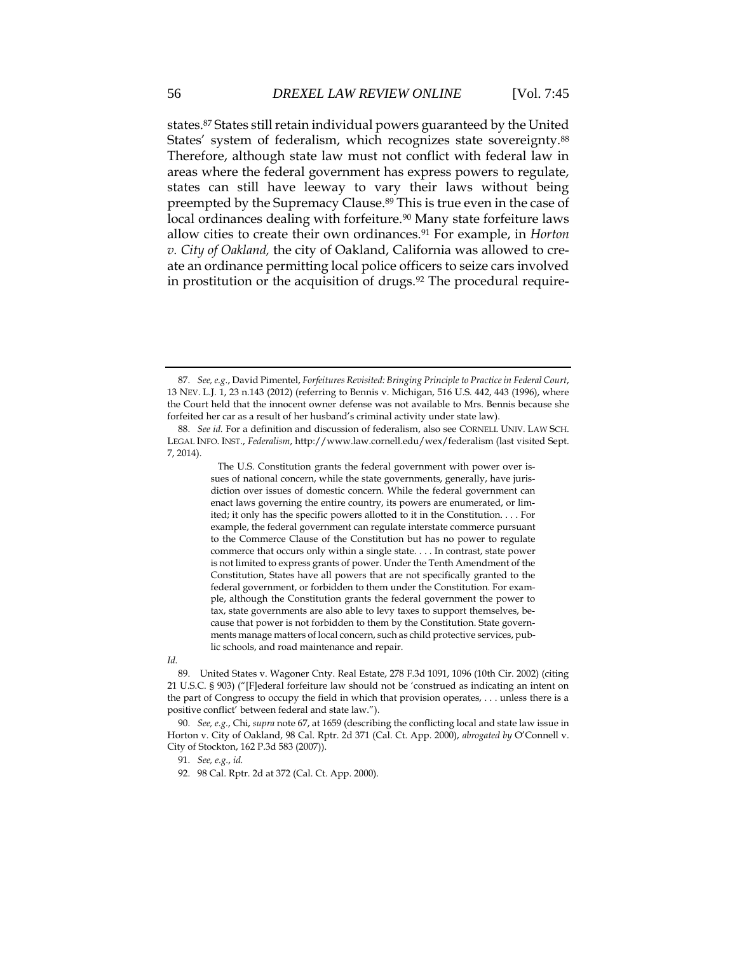states.<sup>87</sup> States still retain individual powers guaranteed by the United States' system of federalism, which recognizes state sovereignty.<sup>88</sup> Therefore, although state law must not conflict with federal law in areas where the federal government has express powers to regulate, states can still have leeway to vary their laws without being preempted by the Supremacy Clause.<sup>89</sup> This is true even in the case of local ordinances dealing with forfeiture.<sup>90</sup> Many state forfeiture laws allow cities to create their own ordinances.<sup>91</sup> For example, in *Horton v. City of Oakland,* the city of Oakland, California was allowed to create an ordinance permitting local police officers to seize cars involved in prostitution or the acquisition of drugs.<sup>92</sup> The procedural require-

 The U.S. [Constitution](http://www.law.cornell.edu/constitution/constitution.overview.html) grants the federal government with power over issues of national concern, while the state governments, generally, have jurisdiction over issues of domestic concern. While the federal government can enact laws governing the entire country, its powers are enumerated, or limited; it only has the specific powers allotted to it in the Constitution. . . . For example, the federal government can regulate interstate commerce pursuant to the [Commerce Clause](http://www.law.cornell.edu/constitution/constitution.articlei.html#section8) of the Constitution but has no power to regulate commerce that occurs only within a single state. . . . In contrast, state power is not limited to express grants of power. Under the Tenth Amendment of the Constitution, States have all powers that are not specifically granted to the federal government, or forbidden to them under the Constitution. For example, although the Constitution grants the federal government the power to tax, state governments are also able to levy taxes to support themselves, because that power is not forbidden to them by the Constitution. State governments manage matters of local concern, such as child protective services, public schools, and road maintenance and repair.

*Id.* 

91. *See, e.g.*, *id.*

<sup>87.</sup> *See, e.g.*, David Pimentel, *Forfeitures Revisited: Bringing Principle to Practice in Federal Court*, 13 NEV. L.J. 1, 23 n.143 (2012) (referring to Bennis v. Michigan, 516 U.S. 442, 443 (1996), where the Court held that the innocent owner defense was not available to Mrs. Bennis because she forfeited her car as a result of her husband's criminal activity under state law).

<sup>88.</sup> *See id.* For a definition and discussion of federalism, also see CORNELL UNIV. LAW SCH. LEGAL INFO. INST., *Federalism*, http://www.law.cornell.edu/wex/federalism (last visited Sept. 7, 2014).

<sup>89.</sup> United States v. Wagoner Cnty. Real Estate, 278 F.3d 1091, 1096 (10th Cir. 2002) (citing 21 U.S.C. § 903) ("[F]ederal forfeiture law should not be 'construed as indicating an intent on the part of Congress to occupy the field in which that provision operates, . . . unless there is a positive conflict' between federal and state law.")*.*

<sup>90.</sup> *See, e.g.*, Chi, *supra* note 67, at 1659 (describing the conflicting local and state law issue in Horton v. City of Oakland, 98 Cal. Rptr. 2d 371 (Cal. Ct. App. 2000), *abrogated by* O'Connell v. City of Stockton, 162 P.3d 583 (2007)).

<sup>92.</sup> 98 Cal. Rptr. 2d at 372 (Cal. Ct. App. 2000).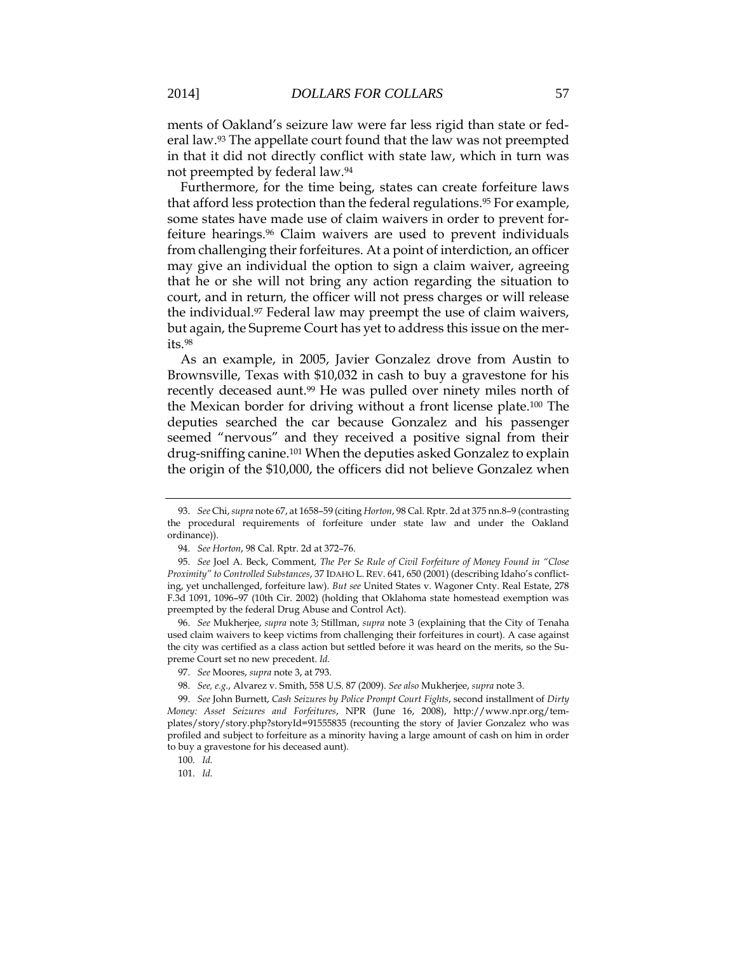ments of Oakland's seizure law were far less rigid than state or federal law.<sup>93</sup> The appellate court found that the law was not preempted in that it did not directly conflict with state law, which in turn was not preempted by federal law.<sup>94</sup>

Furthermore, for the time being, states can create forfeiture laws that afford less protection than the federal regulations.<sup>95</sup> For example, some states have made use of claim waivers in order to prevent forfeiture hearings.<sup>96</sup> Claim waivers are used to prevent individuals from challenging their forfeitures. At a point of interdiction, an officer may give an individual the option to sign a claim waiver, agreeing that he or she will not bring any action regarding the situation to court, and in return, the officer will not press charges or will release the individual.<sup>97</sup> Federal law may preempt the use of claim waivers, but again, the Supreme Court has yet to address this issue on the merits.<sup>98</sup>

As an example, in 2005, Javier Gonzalez drove from Austin to Brownsville, Texas with \$10,032 in cash to buy a gravestone for his recently deceased aunt.<sup>99</sup> He was pulled over ninety miles north of the Mexican border for driving without a front license plate.<sup>100</sup> The deputies searched the car because Gonzalez and his passenger seemed "nervous" and they received a positive signal from their drug-sniffing canine.<sup>101</sup> When the deputies asked Gonzalez to explain the origin of the \$10,000, the officers did not believe Gonzalez when

96. *See* Mukherjee, *supra* note 3; Stillman, *supra* note 3 (explaining that the City of Tenaha used claim waivers to keep victims from challenging their forfeitures in court). A case against the city was certified as a class action but settled before it was heard on the merits, so the Supreme Court set no new precedent. *Id.*

99. *See* John Burnett, *Cash Seizures by Police Prompt Court Fights*, second installment of *Dirty Money: Asset Seizures and Forfeitures*, NPR (June 16, 2008), http://www.npr.org/templates/story/story.php?storyId=91555835 (recounting the story of Javier Gonzalez who was profiled and subject to forfeiture as a minority having a large amount of cash on him in order to buy a gravestone for his deceased aunt).

100. *Id.*

101. *Id.*

<sup>93.</sup> *See* Chi, *supra* note 67, at 1658–59 (citing *Horton*, 98 Cal. Rptr. 2d at 375 nn.8–9 (contrasting the procedural requirements of forfeiture under state law and under the Oakland ordinance)).

<sup>94.</sup> *See Horton*, 98 Cal. Rptr. 2d at 372–76.

<sup>95.</sup> *See* Joel A. Beck, Comment, *The Per Se Rule of Civil Forfeiture of Money Found in "Close Proximity" to Controlled Substances*, 37 IDAHO L. REV. 641, 650 (2001) (describing Idaho's conflicting, yet unchallenged, forfeiture law). *But see* United States v. Wagoner Cnty. Real Estate, 278 F.3d 1091, 1096–97 (10th Cir. 2002) (holding that Oklahoma state homestead exemption was preempted by the federal Drug Abuse and Control Act).

<sup>97.</sup> *See* Moores, *supra* note 3, at 793.

<sup>98.</sup> *See, e.g.*, Alvarez v. Smith, 558 U.S. 87 (2009). *See also* Mukherjee, *supra* note 3.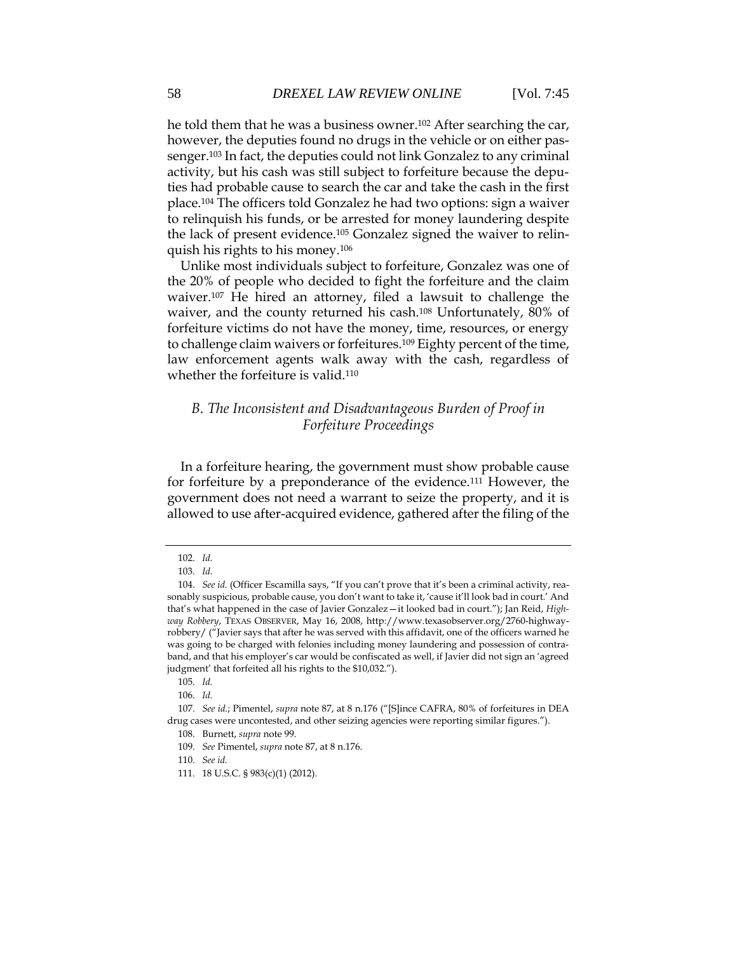he told them that he was a business owner.<sup>102</sup> After searching the car, however, the deputies found no drugs in the vehicle or on either passenger.<sup>103</sup> In fact, the deputies could not link Gonzalez to any criminal activity, but his cash was still subject to forfeiture because the deputies had probable cause to search the car and take the cash in the first place.<sup>104</sup> The officers told Gonzalez he had two options: sign a waiver to relinquish his funds, or be arrested for money laundering despite the lack of present evidence.<sup>105</sup> Gonzalez signed the waiver to relinquish his rights to his money.<sup>106</sup>

Unlike most individuals subject to forfeiture, Gonzalez was one of the 20% of people who decided to fight the forfeiture and the claim waiver.<sup>107</sup> He hired an attorney, filed a lawsuit to challenge the waiver, and the county returned his cash.<sup>108</sup> Unfortunately, 80% of forfeiture victims do not have the money, time, resources, or energy to challenge claim waivers or forfeitures.<sup>109</sup> Eighty percent of the time, law enforcement agents walk away with the cash, regardless of whether the forfeiture is valid.<sup>110</sup>

## *B. The Inconsistent and Disadvantageous Burden of Proof in Forfeiture Proceedings*

In a forfeiture hearing, the government must show probable cause for forfeiture by a preponderance of the evidence.<sup>111</sup> However, the government does not need a warrant to seize the property, and it is allowed to use after-acquired evidence, gathered after the filing of the

<sup>102.</sup> *Id.*

<sup>103.</sup> *Id.*

<sup>104.</sup> *See id.* (Officer Escamilla says, "If you can't prove that it's been a criminal activity, reasonably suspicious, probable cause, you don't want to take it, 'cause it'll look bad in court.' And that's what happened in the case of Javier Gonzalez—it looked bad in court."); Jan Reid, *Highway Robbery*, TEXAS OBSERVER, May 16, 2008, http://www.texasobserver.org/2760-highwayrobbery/ ("Javier says that after he was served with this affidavit, one of the officers warned he was going to be charged with felonies including money laundering and possession of contraband, and that his employer's car would be confiscated as well, if Javier did not sign an 'agreed judgment' that forfeited all his rights to the \$10,032.").

<sup>105.</sup> *Id.*

<sup>106.</sup> *Id.*

<sup>107.</sup> *See id.*; Pimentel, *supra* note 87, at 8 n.176 ("[S]ince CAFRA, 80% of forfeitures in DEA drug cases were uncontested, and other seizing agencies were reporting similar figures.").

<sup>108.</sup> Burnett, *supra* note 99.

<sup>109.</sup> *See* Pimentel, *supra* note 87, at 8 n.176.

<sup>110.</sup> *See id.*

<sup>111.</sup> 18 U.S.C. § 983(c)(1) (2012).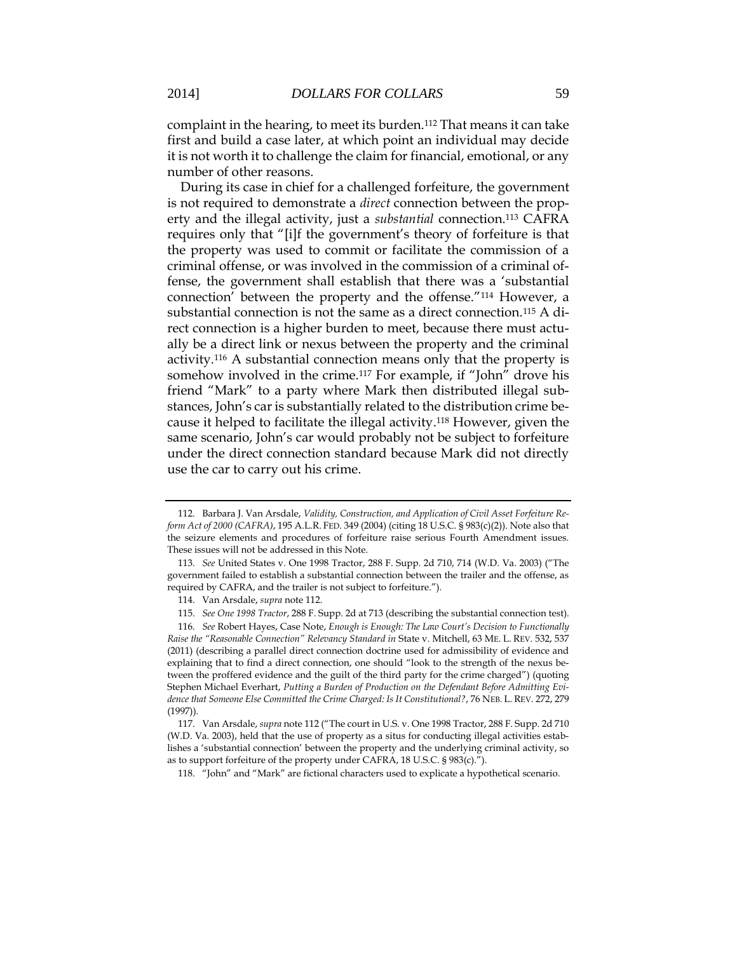complaint in the hearing, to meet its burden.<sup>112</sup> That means it can take first and build a case later, at which point an individual may decide it is not worth it to challenge the claim for financial, emotional, or any number of other reasons.

During its case in chief for a challenged forfeiture, the government is not required to demonstrate a *direct* connection between the property and the illegal activity, just a *substantial* connection.<sup>113</sup> CAFRA requires only that "[i]f the government's theory of forfeiture is that the property was used to commit or facilitate the commission of a criminal offense, or was involved in the commission of a criminal offense, the government shall establish that there was a 'substantial connection' between the property and the offense."<sup>114</sup> However, a substantial connection is not the same as a direct connection.<sup>115</sup> A direct connection is a higher burden to meet, because there must actually be a direct link or nexus between the property and the criminal activity.<sup>116</sup> A substantial connection means only that the property is somehow involved in the crime.<sup>117</sup> For example, if "John" drove his friend "Mark" to a party where Mark then distributed illegal substances, John's car is substantially related to the distribution crime because it helped to facilitate the illegal activity. <sup>118</sup> However, given the same scenario, John's car would probably not be subject to forfeiture under the direct connection standard because Mark did not directly use the car to carry out his crime.

<sup>112.</sup> Barbara J. Van Arsdale, *Validity, Construction, and Application of Civil Asset Forfeiture Reform Act of 2000 (CAFRA)*, 195 A.L.R. FED. 349 (2004) (citing 18 U.S.C. § 983(c)(2)). Note also that the seizure elements and procedures of forfeiture raise serious Fourth Amendment issues. These issues will not be addressed in this Note.

<sup>113.</sup> *See* United States v. One 1998 Tractor, 288 F. Supp. 2d 710, 714 (W.D. Va. 2003) ("The government failed to establish a substantial connection between the trailer and the offense, as required by CAFRA, and the trailer is not subject to forfeiture.").

<sup>114.</sup> Van Arsdale, *supra* note 112.

<sup>115.</sup> *See One 1998 Tractor*, 288 F. Supp. 2d at 713 (describing the substantial connection test).

<sup>116.</sup> *See* Robert Hayes, Case Note, *Enough is Enough: The Law Court's Decision to Functionally*  Raise the "Reasonable Connection" Relevancy Standard in State v. Mitchell, 63 ME. L. REV. 532, 537 (2011) (describing a parallel direct connection doctrine used for admissibility of evidence and explaining that to find a direct connection, one should "look to the strength of the nexus between the proffered evidence and the guilt of the third party for the crime charged") (quoting Stephen Michael Everhart, *Putting a Burden of Production on the Defendant Before Admitting Evidence that Someone Else Committed the Crime Charged: Is It Constitutional?*, 76 NEB. L. REV. 272, 279 (1997)).

<sup>117.</sup> Van Arsdale, *supra* note 112 ("The court in U.S. v. One 1998 Tractor, 288 F. Supp. 2d 710 (W.D. Va. 2003), held that the use of property as a situs for conducting illegal activities establishes a 'substantial connection' between the property and the underlying criminal activity, so as to support forfeiture of the property under CAFRA, 18 U.S.C. § 983(c).").

<sup>118.</sup> "John" and "Mark" are fictional characters used to explicate a hypothetical scenario.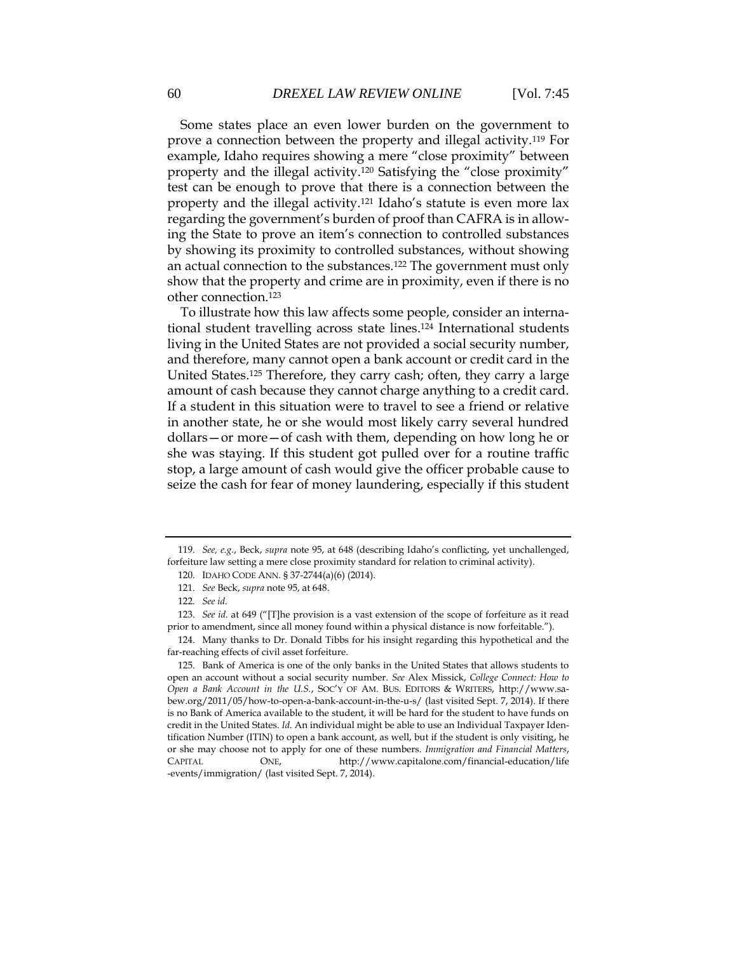Some states place an even lower burden on the government to prove a connection between the property and illegal activity.<sup>119</sup> For example, Idaho requires showing a mere "close proximity" between property and the illegal activity.<sup>120</sup> Satisfying the "close proximity" test can be enough to prove that there is a connection between the property and the illegal activity.<sup>121</sup> Idaho's statute is even more lax regarding the government's burden of proof than CAFRA is in allowing the State to prove an item's connection to controlled substances by showing its proximity to controlled substances, without showing an actual connection to the substances.<sup>122</sup> The government must only show that the property and crime are in proximity, even if there is no other connection. 123

To illustrate how this law affects some people, consider an international student travelling across state lines. <sup>124</sup> International students living in the United States are not provided a social security number, and therefore, many cannot open a bank account or credit card in the United States.<sup>125</sup> Therefore, they carry cash; often, they carry a large amount of cash because they cannot charge anything to a credit card. If a student in this situation were to travel to see a friend or relative in another state, he or she would most likely carry several hundred dollars—or more—of cash with them, depending on how long he or she was staying. If this student got pulled over for a routine traffic stop, a large amount of cash would give the officer probable cause to seize the cash for fear of money laundering, especially if this student

<sup>119.</sup> *See, e.g.*, Beck, *supra* note 95, at 648 (describing Idaho's conflicting, yet unchallenged, forfeiture law setting a mere close proximity standard for relation to criminal activity).

<sup>120.</sup> IDAHO CODE ANN. § 37-2744(a)(6) (2014).

<sup>121.</sup> *See* Beck, *supra* note 95, at 648.

<sup>122.</sup> *See id.*

<sup>123.</sup> *See id.* at 649 ("[T]he provision is a vast extension of the scope of forfeiture as it read prior to amendment, since all money found within a physical distance is now forfeitable.").

<sup>124.</sup> Many thanks to Dr. Donald Tibbs for his insight regarding this hypothetical and the far-reaching effects of civil asset forfeiture.

<sup>125.</sup> Bank of America is one of the only banks in the United States that allows students to open an account without a social security number. *See* Alex Missick, *College Connect: How to Open a Bank Account in the U.S.*, SOC'Y OF AM. BUS. EDITORS & WRITERS, http://www.sabew.org/2011/05/how-to-open-a-bank-account-in-the-u-s/ (last visited Sept. 7, 2014). If there is no Bank of America available to the student, it will be hard for the student to have funds on credit in the United States. *Id.* An individual might be able to use an Individual Taxpayer Identification Number (ITIN) to open a bank account, as well, but if the student is only visiting, he or she may choose not to apply for one of these numbers. *Immigration and Financial Matters*, CAPITAL ONE, http://www.capitalone.com/financial-education/life -events/immigration/ (last visited Sept. 7, 2014).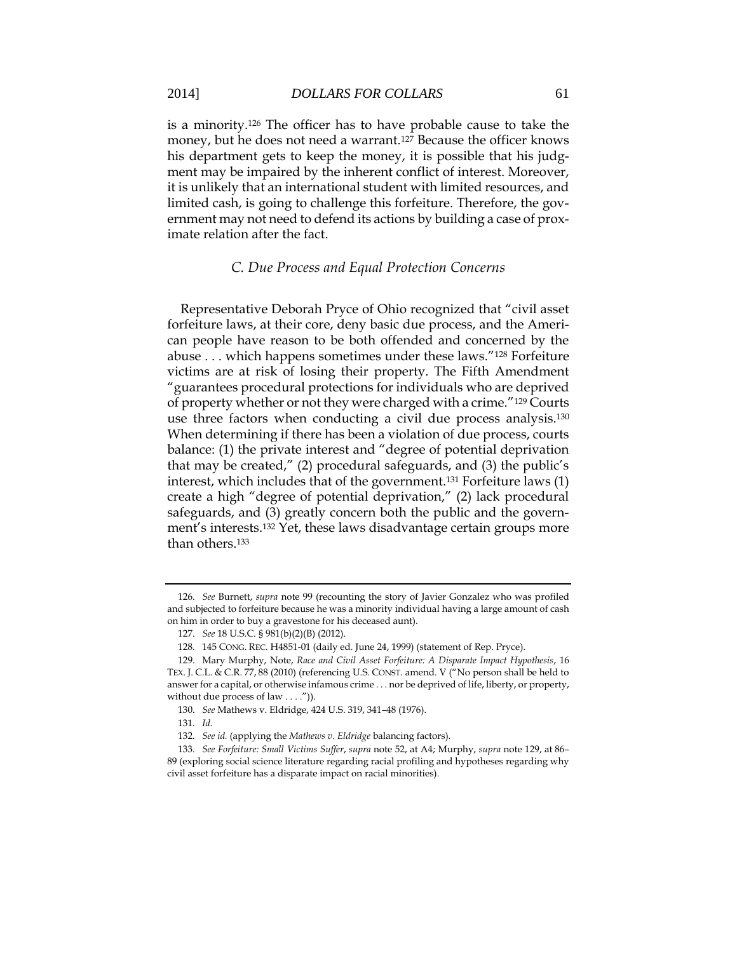is a minority.<sup>126</sup> The officer has to have probable cause to take the money, but he does not need a warrant.<sup>127</sup> Because the officer knows his department gets to keep the money, it is possible that his judgment may be impaired by the inherent conflict of interest. Moreover, it is unlikely that an international student with limited resources, and limited cash, is going to challenge this forfeiture. Therefore, the government may not need to defend its actions by building a case of proximate relation after the fact.

### *C. Due Process and Equal Protection Concerns*

Representative Deborah Pryce of Ohio recognized that "civil asset forfeiture laws, at their core, deny basic due process, and the American people have reason to be both offended and concerned by the abuse . . . which happens sometimes under these laws."<sup>128</sup> Forfeiture victims are at risk of losing their property. The Fifth Amendment "guarantees procedural protections for individuals who are deprived of property whether or not they were charged with a crime."<sup>129</sup> Courts use three factors when conducting a civil due process analysis.<sup>130</sup> When determining if there has been a violation of due process, courts balance: (1) the private interest and "degree of potential deprivation that may be created," (2) procedural safeguards, and (3) the public's interest, which includes that of the government.<sup>131</sup> Forfeiture laws (1) create a high "degree of potential deprivation," (2) lack procedural safeguards, and (3) greatly concern both the public and the government's interests.<sup>132</sup> Yet, these laws disadvantage certain groups more than others.<sup>133</sup>

<sup>126.</sup> *See* Burnett, *supra* note 99 (recounting the story of Javier Gonzalez who was profiled and subjected to forfeiture because he was a minority individual having a large amount of cash on him in order to buy a gravestone for his deceased aunt).

<sup>127.</sup> *See* 18 U.S.C. § 981(b)(2)(B) (2012).

<sup>128.</sup> 145 CONG. REC. H4851-01 (daily ed. June 24, 1999) (statement of Rep. Pryce).

<sup>129.</sup> Mary Murphy, Note, *Race and Civil Asset Forfeiture: A Disparate Impact Hypothesis*, 16 TEX. J. C.L. & C.R. 77, 88 (2010) (referencing U.S. CONST. amend. V ("No person shall be held to answer for a capital, or otherwise infamous crime . . . nor be deprived of life, liberty, or property, without due process of law  $\dots$ .")).

<sup>130.</sup> *See* Mathews v. Eldridge, 424 U.S. 319, 341–48 (1976).

<sup>131.</sup> *Id.*

<sup>132.</sup> *See id.* (applying the *Mathews v. Eldridge* balancing factors)*.*

<sup>133.</sup> *See Forfeiture: Small Victims Suffer*, *supra* note 52, at A4; Murphy, *supra* note 129, at 86– 89 (exploring social science literature regarding racial profiling and hypotheses regarding why civil asset forfeiture has a disparate impact on racial minorities).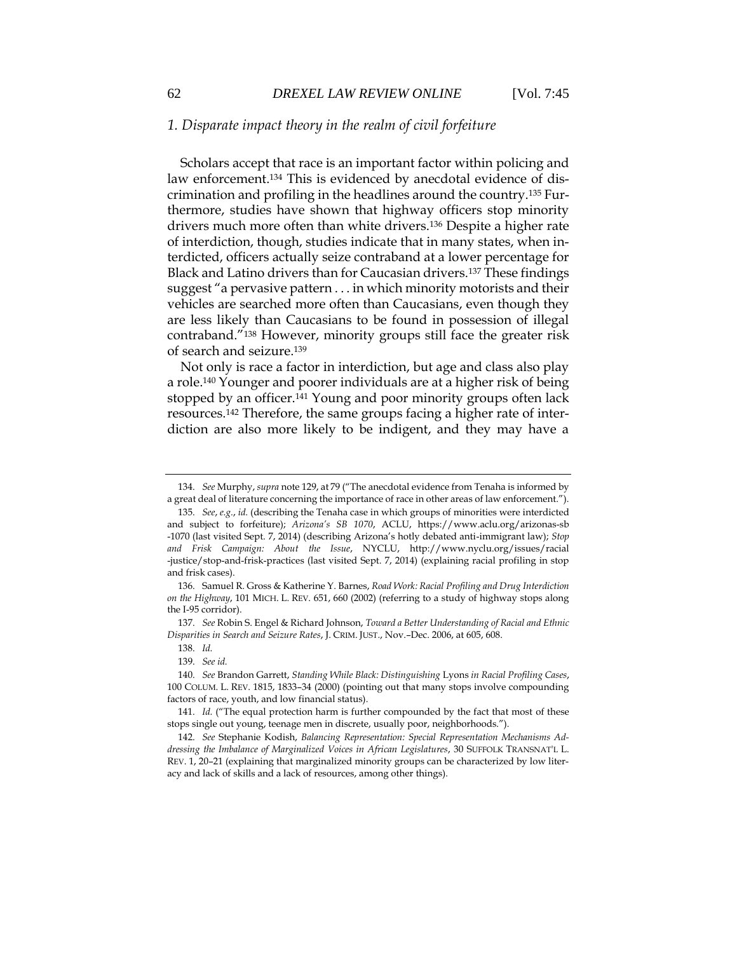### *1. Disparate impact theory in the realm of civil forfeiture*

Scholars accept that race is an important factor within policing and law enforcement.<sup>134</sup> This is evidenced by anecdotal evidence of discrimination and profiling in the headlines around the country.<sup>135</sup> Furthermore, studies have shown that highway officers stop minority drivers much more often than white drivers.<sup>136</sup> Despite a higher rate of interdiction, though, studies indicate that in many states, when interdicted, officers actually seize contraband at a lower percentage for Black and Latino drivers than for Caucasian drivers.<sup>137</sup> These findings suggest "a pervasive pattern . . . in which minority motorists and their vehicles are searched more often than Caucasians, even though they are less likely than Caucasians to be found in possession of illegal contraband."<sup>138</sup> However, minority groups still face the greater risk of search and seizure.<sup>139</sup>

Not only is race a factor in interdiction, but age and class also play a role.<sup>140</sup> Younger and poorer individuals are at a higher risk of being stopped by an officer.<sup>141</sup> Young and poor minority groups often lack resources.<sup>142</sup> Therefore, the same groups facing a higher rate of interdiction are also more likely to be indigent, and they may have a

136. Samuel R. Gross & Katherine Y. Barnes, *Road Work: Racial Profiling and Drug Interdiction on the Highway*, 101 MICH. L. REV. 651, 660 (2002) (referring to a study of highway stops along the I-95 corridor).

137. *See* Robin S. Engel & Richard Johnson, *Toward a Better Understanding of Racial and Ethnic Disparities in Search and Seizure Rates*, J. CRIM. JUST., Nov.–Dec. 2006, at 605, 608.

<sup>134.</sup> *See* Murphy, *supra* note 129, at 79 ("The anecdotal evidence from Tenaha is informed by a great deal of literature concerning the importance of race in other areas of law enforcement.").

<sup>135.</sup> *See*, *e.g.*, *id.* (describing the Tenaha case in which groups of minorities were interdicted and subject to forfeiture); *Arizona's SB 1070*, ACLU, https://www.aclu.org/arizonas-sb -1070 (last visited Sept. 7, 2014) (describing Arizona's hotly debated anti-immigrant law); *Stop and Frisk Campaign: About the Issue*, NYCLU, http://www.nyclu.org/issues/racial -justice/stop-and-frisk-practices (last visited Sept. 7, 2014) (explaining racial profiling in stop and frisk cases).

<sup>138.</sup> *Id.*

<sup>139.</sup> *See id.*

<sup>140.</sup> *See* Brandon Garrett, *Standing While Black: Distinguishing* Lyons *in Racial Profiling Cases*, 100 COLUM. L. REV. 1815, 1833–34 (2000) (pointing out that many stops involve compounding factors of race, youth, and low financial status).

<sup>141.</sup> *Id.* ("The equal protection harm is further compounded by the fact that most of these stops single out young, teenage men in discrete, usually poor, neighborhoods.").

<sup>142.</sup> *See* Stephanie Kodish, *Balancing Representation: Special Representation Mechanisms Addressing the Imbalance of Marginalized Voices in African Legislatures*, 30 SUFFOLK TRANSNAT'L L. REV. 1, 20–21 (explaining that marginalized minority groups can be characterized by low literacy and lack of skills and a lack of resources, among other things).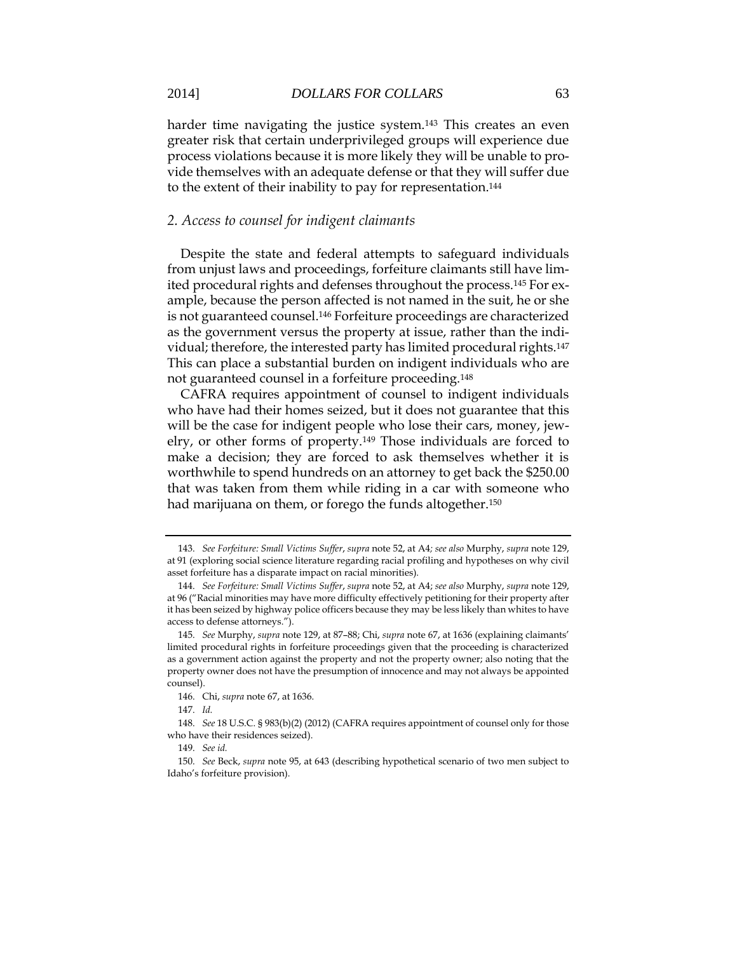harder time navigating the justice system.<sup>143</sup> This creates an even greater risk that certain underprivileged groups will experience due process violations because it is more likely they will be unable to provide themselves with an adequate defense or that they will suffer due to the extent of their inability to pay for representation. 144

### *2. Access to counsel for indigent claimants*

Despite the state and federal attempts to safeguard individuals from unjust laws and proceedings, forfeiture claimants still have limited procedural rights and defenses throughout the process.<sup>145</sup> For example, because the person affected is not named in the suit, he or she is not guaranteed counsel.<sup>146</sup> Forfeiture proceedings are characterized as the government versus the property at issue, rather than the individual; therefore, the interested party has limited procedural rights.<sup>147</sup> This can place a substantial burden on indigent individuals who are not guaranteed counsel in a forfeiture proceeding.<sup>148</sup>

CAFRA requires appointment of counsel to indigent individuals who have had their homes seized, but it does not guarantee that this will be the case for indigent people who lose their cars, money, jewelry, or other forms of property.<sup>149</sup> Those individuals are forced to make a decision; they are forced to ask themselves whether it is worthwhile to spend hundreds on an attorney to get back the \$250.00 that was taken from them while riding in a car with someone who had marijuana on them, or forego the funds altogether.<sup>150</sup>

<sup>143.</sup> *See Forfeiture: Small Victims Suffer*, *supra* note 52, at A4*; see also* Murphy, *supra* note 129, at 91 (exploring social science literature regarding racial profiling and hypotheses on why civil asset forfeiture has a disparate impact on racial minorities).

<sup>144.</sup> *See Forfeiture: Small Victims Suffer*, *supra* note 52, at A4; *see also* Murphy, *supra* note 129, at 96 ("Racial minorities may have more difficulty effectively petitioning for their property after it has been seized by highway police officers because they may be less likely than whites to have access to defense attorneys.").

<sup>145.</sup> *See* Murphy, *supra* note 129, at 87–88; Chi, *supra* note 67, at 1636 (explaining claimants' limited procedural rights in forfeiture proceedings given that the proceeding is characterized as a government action against the property and not the property owner; also noting that the property owner does not have the presumption of innocence and may not always be appointed counsel).

<sup>146.</sup> Chi, *supra* note 67, at 1636.

<sup>147.</sup> *Id.*

<sup>148.</sup> *See* 18 U.S.C. § 983(b)(2) (2012) (CAFRA requires appointment of counsel only for those who have their residences seized).

<sup>149.</sup> *See id.*

<sup>150.</sup> *See* Beck, *supra* note 95, at 643 (describing hypothetical scenario of two men subject to Idaho's forfeiture provision).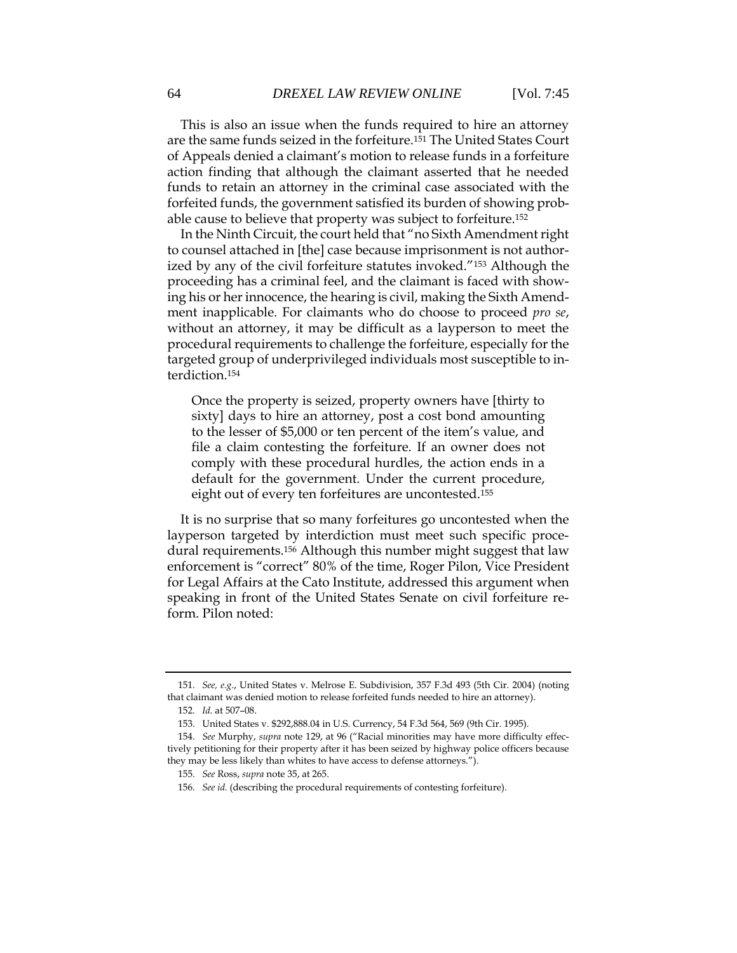This is also an issue when the funds required to hire an attorney are the same funds seized in the forfeiture.<sup>151</sup> The United States Court of Appeals denied a claimant's motion to release funds in a forfeiture action finding that although the claimant asserted that he needed funds to retain an attorney in the criminal case associated with the forfeited funds, the government satisfied its burden of showing probable cause to believe that property was subject to forfeiture.<sup>152</sup>

In the Ninth Circuit, the court held that "no Sixth Amendment right to counsel attached in [the] case because imprisonment is not authorized by any of the civil forfeiture statutes invoked."<sup>153</sup> Although the proceeding has a criminal feel, and the claimant is faced with showing his or her innocence, the hearing is civil, making the Sixth Amendment inapplicable. For claimants who do choose to proceed *pro se*, without an attorney, it may be difficult as a layperson to meet the procedural requirements to challenge the forfeiture, especially for the targeted group of underprivileged individuals most susceptible to interdiction.<sup>154</sup>

Once the property is seized, property owners have [thirty to sixty] days to hire an attorney, post a cost bond amounting to the lesser of \$5,000 or ten percent of the item's value, and file a claim contesting the forfeiture. If an owner does not comply with these procedural hurdles, the action ends in a default for the government. Under the current procedure, eight out of every ten forfeitures are uncontested.<sup>155</sup>

It is no surprise that so many forfeitures go uncontested when the layperson targeted by interdiction must meet such specific procedural requirements.<sup>156</sup> Although this number might suggest that law enforcement is "correct" 80% of the time, Roger Pilon, Vice President for Legal Affairs at the Cato Institute, addressed this argument when speaking in front of the United States Senate on civil forfeiture reform. Pilon noted:

<sup>151.</sup> *See, e.g.*, United States v. Melrose E. Subdivision, 357 F.3d 493 (5th Cir. 2004) (noting that claimant was denied motion to release forfeited funds needed to hire an attorney).

<sup>152.</sup> *Id.* at 507–08.

<sup>153.</sup> United States v. \$292,888.04 in U.S. Currency, 54 F.3d 564, 569 (9th Cir. 1995).

<sup>154.</sup> *See* Murphy, *supra* note 129, at 96 ("Racial minorities may have more difficulty effectively petitioning for their property after it has been seized by highway police officers because they may be less likely than whites to have access to defense attorneys.").

<sup>155.</sup> *See* Ross, *supra* note 35, at 265.

<sup>156.</sup> *See id.* (describing the procedural requirements of contesting forfeiture).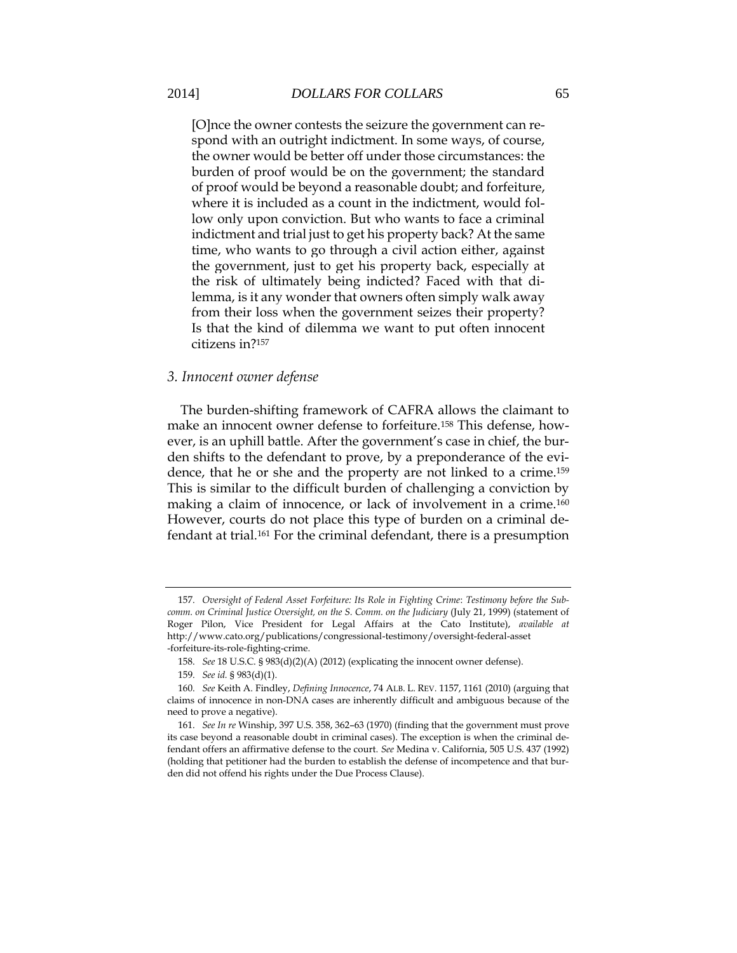[O]nce the owner contests the seizure the government can respond with an outright indictment. In some ways, of course, the owner would be better off under those circumstances: the burden of proof would be on the government; the standard of proof would be beyond a reasonable doubt; and forfeiture, where it is included as a count in the indictment, would follow only upon conviction. But who wants to face a criminal indictment and trial just to get his property back? At the same time, who wants to go through a civil action either, against the government, just to get his property back, especially at the risk of ultimately being indicted? Faced with that dilemma, is it any wonder that owners often simply walk away from their loss when the government seizes their property? Is that the kind of dilemma we want to put often innocent citizens in?<sup>157</sup>

### *3. Innocent owner defense*

The burden-shifting framework of CAFRA allows the claimant to make an innocent owner defense to forfeiture.<sup>158</sup> This defense, however, is an uphill battle. After the government's case in chief, the burden shifts to the defendant to prove, by a preponderance of the evidence, that he or she and the property are not linked to a crime.<sup>159</sup> This is similar to the difficult burden of challenging a conviction by making a claim of innocence, or lack of involvement in a crime.<sup>160</sup> However, courts do not place this type of burden on a criminal defendant at trial.<sup>161</sup> For the criminal defendant, there is a presumption

<sup>157.</sup> *Oversight of Federal Asset Forfeiture: Its Role in Fighting Crime*: *Testimony before the Subcomm. on Criminal Justice Oversight, on the S. Comm. on the Judiciary* (July 21, 1999) (statement of Roger Pilon, Vice President for Legal Affairs at the Cato Institute), *available at* http://www.cato.org/publications/congressional-testimony/oversight-federal-asset -forfeiture-its-role-fighting-crime.

<sup>158.</sup> *See* 18 U.S.C. § 983(d)(2)(A) (2012) (explicating the innocent owner defense).

<sup>159.</sup> *See id.* § 983(d)(1).

<sup>160.</sup> *See* Keith A. Findley, *Defining Innocence*, 74 ALB. L. REV. 1157, 1161 (2010) (arguing that claims of innocence in non-DNA cases are inherently difficult and ambiguous because of the need to prove a negative).

<sup>161.</sup> *See In re* Winship, 397 U.S. 358, 362–63 (1970) (finding that the government must prove its case beyond a reasonable doubt in criminal cases). The exception is when the criminal defendant offers an affirmative defense to the court. *See* Medina v. California, 505 U.S. 437 (1992) (holding that petitioner had the burden to establish the defense of incompetence and that burden did not offend his rights under the Due Process Clause).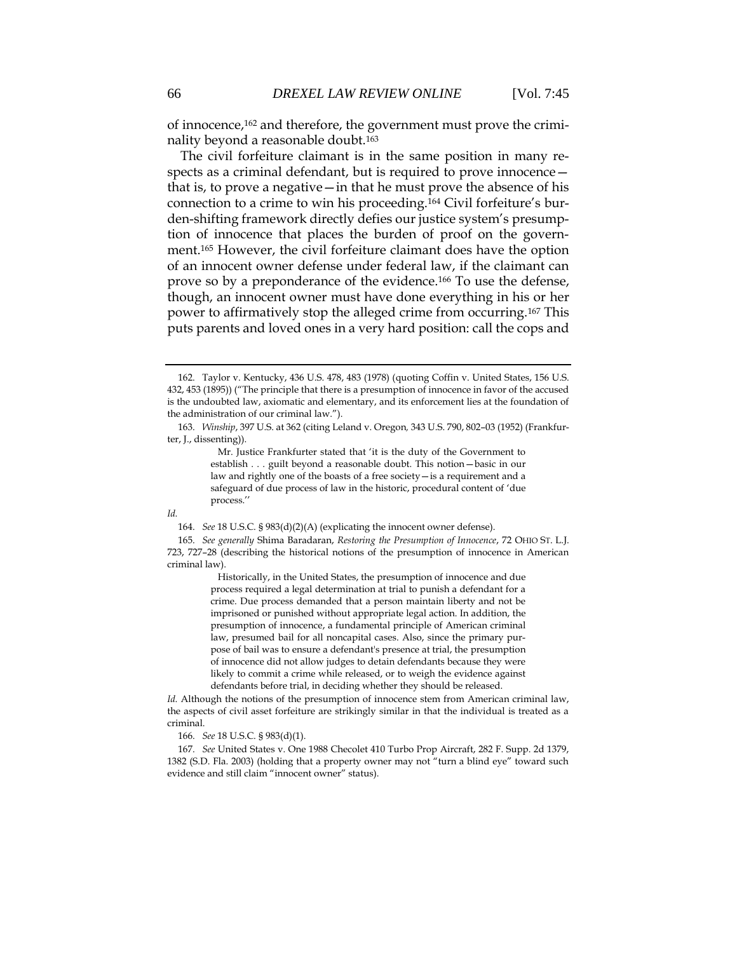of innocence,<sup>162</sup> and therefore, the government must prove the criminality beyond a reasonable doubt.<sup>163</sup>

The civil forfeiture claimant is in the same position in many respects as a criminal defendant, but is required to prove innocence that is, to prove a negative—in that he must prove the absence of his connection to a crime to win his proceeding.<sup>164</sup> Civil forfeiture's burden-shifting framework directly defies our justice system's presumption of innocence that places the burden of proof on the government.<sup>165</sup> However, the civil forfeiture claimant does have the option of an innocent owner defense under federal law, if the claimant can prove so by a preponderance of the evidence.<sup>166</sup> To use the defense, though, an innocent owner must have done everything in his or her power to affirmatively stop the alleged crime from occurring.<sup>167</sup> This puts parents and loved ones in a very hard position: call the cops and

 Mr. Justice Frankfurter stated that 'it is the duty of the Government to establish . . . guilt beyond a reasonable doubt. This notion—basic in our law and rightly one of the boasts of a free society—is a requirement and a safeguard of due process of law in the historic, procedural content of 'due process.''

#### *Id.*

165. *See generally* Shima Baradaran, *Restoring the Presumption of Innocence*, 72 OHIO ST. L.J. 723, 727–28 (describing the historical notions of the presumption of innocence in American criminal law).

> Historically, in the United States, the presumption of innocence and due process required a legal determination at trial to punish a defendant for a crime. Due process demanded that a person maintain liberty and not be imprisoned or punished without appropriate legal action. In addition, the presumption of innocence, a fundamental principle of American criminal law, presumed bail for all noncapital cases. Also, since the primary purpose of bail was to ensure a defendant's presence at trial, the presumption of innocence did not allow judges to detain defendants because they were likely to commit a crime while released, or to weigh the evidence against defendants before trial, in deciding whether they should be released.

*Id.* Although the notions of the presumption of innocence stem from American criminal law, the aspects of civil asset forfeiture are strikingly similar in that the individual is treated as a criminal.

166. *See* 18 U.S.C. § 983(d)(1).

167. *See* United States v. One 1988 Checolet 410 Turbo Prop Aircraft, 282 F. Supp. 2d 1379, 1382 (S.D. Fla. 2003) (holding that a property owner may not "turn a blind eye" toward such evidence and still claim "innocent owner" status).

<sup>162.</sup> Taylor v. Kentucky, 436 U.S. 478, 483 (1978) (quoting Coffin v. United States, 156 U.S. 432, 453 (1895)) ("The principle that there is a presumption of innocence in favor of the accused is the undoubted law, axiomatic and elementary, and its enforcement lies at the foundation of the administration of our criminal law.").

<sup>163.</sup> *Winship*, 397 U.S. at 362 (citing Leland v. Oregon*,* 343 U.S. 790, 802–03 (1952) (Frankfurter, J., dissenting)).

<sup>164.</sup> *See* 18 U.S.C. § 983(d)(2)(A) (explicating the innocent owner defense).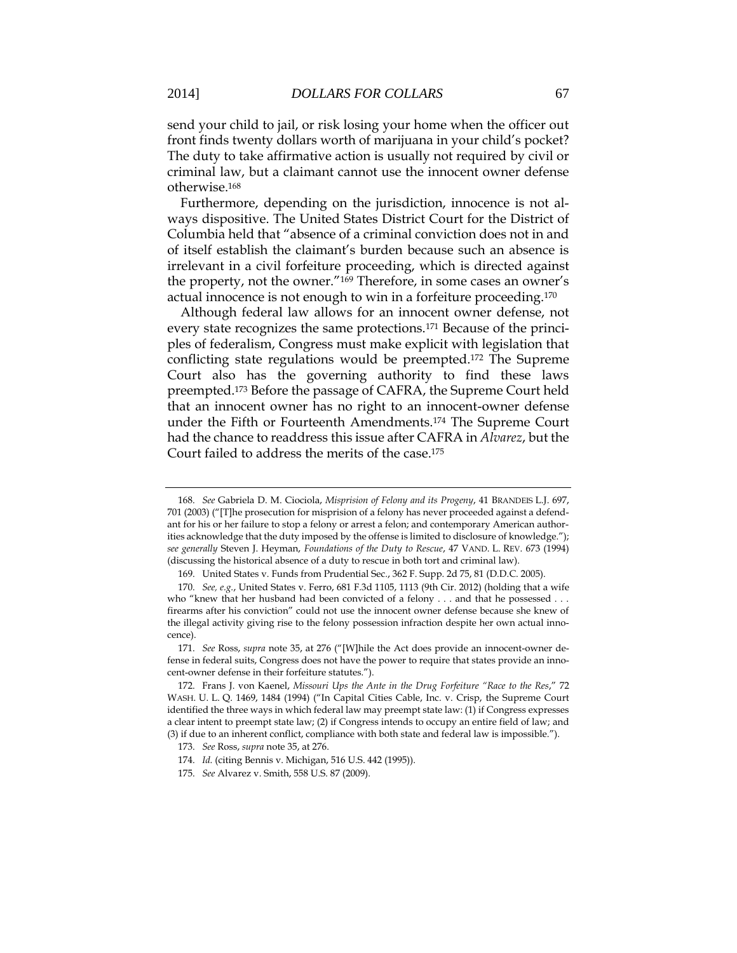send your child to jail, or risk losing your home when the officer out front finds twenty dollars worth of marijuana in your child's pocket? The duty to take affirmative action is usually not required by civil or criminal law, but a claimant cannot use the innocent owner defense otherwise.<sup>168</sup>

Furthermore, depending on the jurisdiction, innocence is not always dispositive. The United States District Court for the District of Columbia held that "absence of a criminal conviction does not in and of itself establish the claimant's burden because such an absence is irrelevant in a civil forfeiture proceeding, which is directed against the property, not the owner."<sup>169</sup> Therefore, in some cases an owner's actual innocence is not enough to win in a forfeiture proceeding.<sup>170</sup>

Although federal law allows for an innocent owner defense, not every state recognizes the same protections.<sup>171</sup> Because of the principles of federalism, Congress must make explicit with legislation that conflicting state regulations would be preempted.<sup>172</sup> The Supreme Court also has the governing authority to find these laws preempted.<sup>173</sup> Before the passage of CAFRA, the Supreme Court held that an innocent owner has no right to an innocent-owner defense under the Fifth or Fourteenth Amendments.<sup>174</sup> The Supreme Court had the chance to readdress this issue after CAFRA in *Alvarez*, but the Court failed to address the merits of the case.<sup>175</sup>

<sup>168.</sup> *See* Gabriela D. M. Ciociola, *Misprision of Felony and its Progeny*, 41 BRANDEIS L.J. 697, 701 (2003) ("[T]he prosecution for misprision of a felony has never proceeded against a defendant for his or her failure to stop a felony or arrest a felon; and contemporary American authorities acknowledge that the duty imposed by the offense is limited to disclosure of knowledge."); *see generally* Steven J. Heyman, *Foundations of the Duty to Rescue*, 47 VAND. L. REV. 673 (1994) (discussing the historical absence of a duty to rescue in both tort and criminal law).

<sup>169.</sup> United States v. Funds from Prudential Sec*.*, 362 F. Supp. 2d 75, 81 (D.D.C. 2005).

<sup>170.</sup> *See, e.g.*, United States v. Ferro, 681 F.3d 1105, 1113 (9th Cir. 2012) (holding that a wife who "knew that her husband had been convicted of a felony . . . and that he possessed . . . firearms after his conviction" could not use the innocent owner defense because she knew of the illegal activity giving rise to the felony possession infraction despite her own actual innocence).

<sup>171.</sup> *See* Ross, *supra* note 35, at 276 ("[W]hile the Act does provide an innocent-owner defense in federal suits, Congress does not have the power to require that states provide an innocent-owner defense in their forfeiture statutes.").

<sup>172.</sup> Frans J. von Kaenel, *Missouri Ups the Ante in the Drug Forfeiture "Race to the Res*," 72 WASH. U. L. Q. 1469, 1484 (1994) ("In Capital Cities Cable, Inc. v. Crisp, the Supreme Court identified the three ways in which federal law may preempt state law: (1) if Congress expresses a clear intent to preempt state law; (2) if Congress intends to occupy an entire field of law; and (3) if due to an inherent conflict, compliance with both state and federal law is impossible.").

<sup>173.</sup> *See* Ross, *supra* note 35, at 276.

<sup>174.</sup> *Id.* (citing Bennis v. Michigan, 516 U.S. 442 (1995)).

<sup>175.</sup> *See* Alvarez v. Smith, 558 U.S. 87 (2009).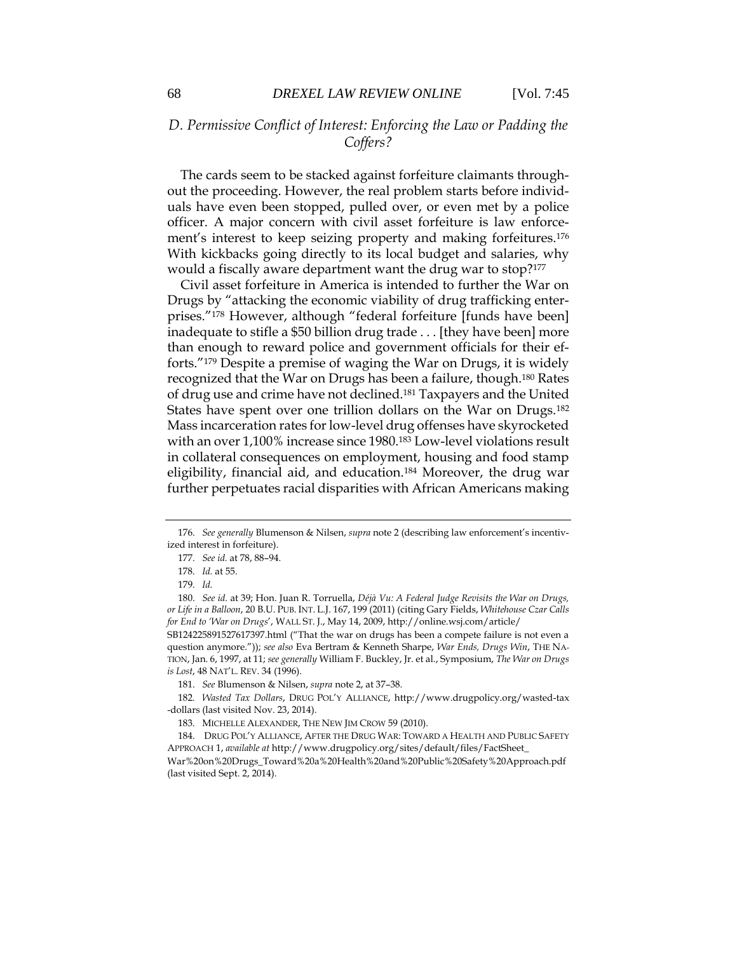## *D. Permissive Conflict of Interest: Enforcing the Law or Padding the Coffers?*

The cards seem to be stacked against forfeiture claimants throughout the proceeding. However, the real problem starts before individuals have even been stopped, pulled over, or even met by a police officer. A major concern with civil asset forfeiture is law enforcement's interest to keep seizing property and making forfeitures.<sup>176</sup> With kickbacks going directly to its local budget and salaries, why would a fiscally aware department want the drug war to stop?<sup>177</sup>

Civil asset forfeiture in America is intended to further the War on Drugs by "attacking the economic viability of drug trafficking enterprises."<sup>178</sup> However, although "federal forfeiture [funds have been] inadequate to stifle a \$50 billion drug trade . . . [they have been] more than enough to reward police and government officials for their efforts."<sup>179</sup> Despite a premise of waging the War on Drugs, it is widely recognized that the War on Drugs has been a failure, though. <sup>180</sup> Rates of drug use and crime have not declined.<sup>181</sup> Taxpayers and the United States have spent over one trillion dollars on the War on Drugs.<sup>182</sup> Mass incarceration rates for low-level drug offenses have skyrocketed with an over 1,100% increase since 1980.<sup>183</sup> Low-level violations result in collateral consequences on employment, housing and food stamp eligibility, financial aid, and education.<sup>184</sup> Moreover, the drug war further perpetuates racial disparities with African Americans making

SB124225891527617397.html ("That the war on drugs has been a compete failure is not even a question anymore.")); *see also* Eva Bertram & Kenneth Sharpe, *War Ends, Drugs Win*, THE NA-TION, Jan. 6, 1997, at 11; *see generally* William F. Buckley, Jr. et al., Symposium, *The War on Drugs is Lost*, 48 NAT'L. REV. 34 (1996).

182*. Wasted Tax Dollars*, DRUG POL'Y ALLIANCE, http://www.drugpolicy.org/wasted-tax -dollars (last visited Nov. 23, 2014).

<sup>176.</sup> *See generally* Blumenson & Nilsen, *supra* note 2 (describing law enforcement's incentivized interest in forfeiture).

<sup>177.</sup> *See id.* at 78, 88–94.

<sup>178.</sup> *Id.* at 55.

<sup>179.</sup> *Id.*

<sup>180.</sup> *See id.* at 39; Hon. Juan R. Torruella, *Déjà Vu: A Federal Judge Revisits the War on Drugs, or Life in a Balloon*, 20 B.U. PUB. INT. L.J. 167, 199 (2011) (citing Gary Fields, *Whitehouse Czar Calls for End to 'War on Drugs*', WALL ST. J., May 14, 2009, http://online.wsj.com/article/

<sup>181.</sup> *See* Blumenson & Nilsen, *supra* note 2, at 37–38.

<sup>183.</sup> MICHELLE ALEXANDER, THE NEW JIM CROW 59 (2010).

<sup>184.</sup> DRUG POL'Y ALLIANCE, AFTER THE DRUG WAR: TOWARD A HEALTH AND PUBLIC SAFETY APPROACH 1, *available at* http://www.drugpolicy.org/sites/default/files/FactSheet\_

War%20on%20Drugs\_Toward%20a%20Health%20and%20Public%20Safety%20Approach.pdf (last visited Sept. 2, 2014).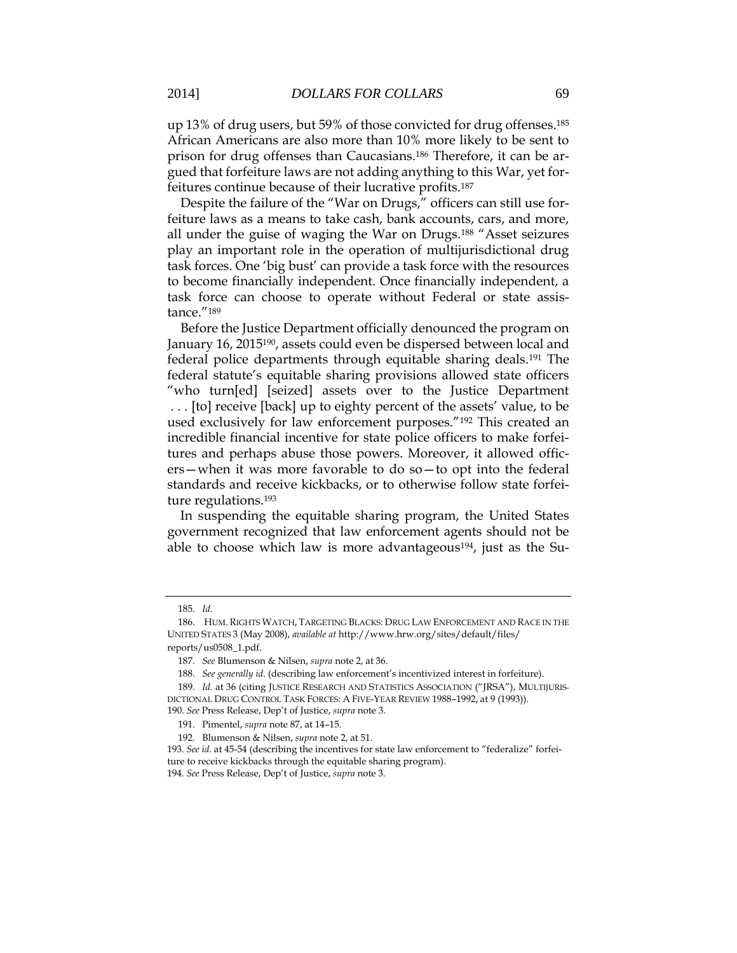up 13% of drug users, but 59% of those convicted for drug offenses.<sup>185</sup> African Americans are also more than 10% more likely to be sent to prison for drug offenses than Caucasians.<sup>186</sup> Therefore, it can be argued that forfeiture laws are not adding anything to this War, yet forfeitures continue because of their lucrative profits.<sup>187</sup>

Despite the failure of the "War on Drugs," officers can still use forfeiture laws as a means to take cash, bank accounts, cars, and more, all under the guise of waging the War on Drugs.<sup>188</sup> "Asset seizures play an important role in the operation of multijurisdictional drug task forces. One 'big bust' can provide a task force with the resources to become financially independent. Once financially independent, a task force can choose to operate without Federal or state assistance."<sup>189</sup>

Before the Justice Department officially denounced the program on January 16, 2015<sup>190</sup>, assets could even be dispersed between local and federal police departments through equitable sharing deals.<sup>191</sup> The federal statute's equitable sharing provisions allowed state officers "who turn[ed] [seized] assets over to the Justice Department . . . [to] receive [back] up to eighty percent of the assets' value, to be used exclusively for law enforcement purposes."<sup>192</sup> This created an incredible financial incentive for state police officers to make forfeitures and perhaps abuse those powers. Moreover, it allowed officers—when it was more favorable to do so—to opt into the federal standards and receive kickbacks, or to otherwise follow state forfeiture regulations.<sup>193</sup>

In suspending the equitable sharing program, the United States government recognized that law enforcement agents should not be able to choose which law is more advantageous<sup>194</sup>, just as the Su-

<sup>185.</sup> *Id.*

<sup>186.</sup> HUM. RIGHTS WATCH, TARGETING BLACKS: DRUG LAW ENFORCEMENT AND RACE IN THE UNITED STATES 3 (May 2008), *available at* http://www.hrw.org/sites/default/files/ reports/us0508\_1.pdf.

<sup>187.</sup> *See* Blumenson & Nilsen, *supra* note 2, at 36.

<sup>188.</sup> *See generally id.* (describing law enforcement's incentivized interest in forfeiture).

<sup>189.</sup> *Id.* at 36 (citing JUSTICE RESEARCH AND STATISTICS ASSOCIATION ("JRSA"), MULTIJURIS-DICTIONAL DRUG CONTROL TASK FORCES: A FIVE-YEAR REVIEW 1988–1992, at 9 (1993)).

<sup>190.</sup> *See* Press Release, Dep't of Justice, *supra* note 3.

<sup>191.</sup> Pimentel, *supra* note 87, at 14–15.

<sup>192.</sup> Blumenson & Nilsen, *supra* note 2, at 51.

<sup>193.</sup> *See id.* at 45-54 (describing the incentives for state law enforcement to "federalize" forfeiture to receive kickbacks through the equitable sharing program).

<sup>194.</sup> *See* Press Release, Dep't of Justice, *supra* note 3.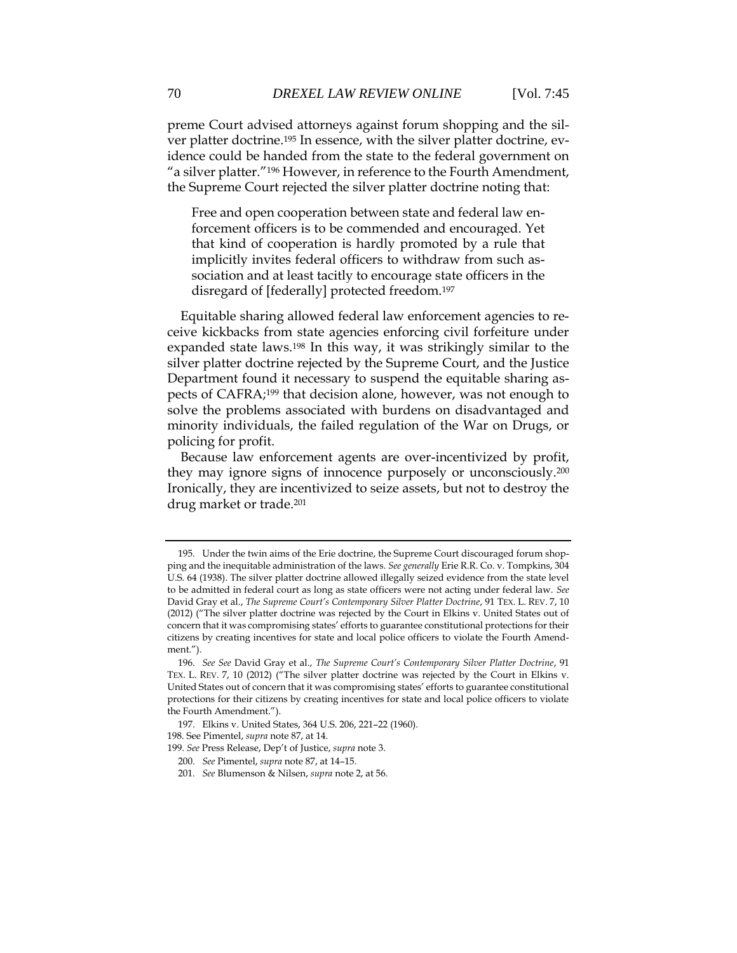preme Court advised attorneys against forum shopping and the silver platter doctrine. <sup>195</sup> In essence, with the silver platter doctrine, evidence could be handed from the state to the federal government on "a silver platter."<sup>196</sup> However, in reference to the Fourth Amendment, the Supreme Court rejected the silver platter doctrine noting that:

Free and open cooperation between state and federal law enforcement officers is to be commended and encouraged. Yet that kind of cooperation is hardly promoted by a rule that implicitly invites federal officers to withdraw from such association and at least tacitly to encourage state officers in the disregard of [federally] protected freedom.<sup>197</sup>

Equitable sharing allowed federal law enforcement agencies to receive kickbacks from state agencies enforcing civil forfeiture under expanded state laws.<sup>198</sup> In this way, it was strikingly similar to the silver platter doctrine rejected by the Supreme Court, and the Justice Department found it necessary to suspend the equitable sharing aspects of CAFRA;<sup>199</sup> that decision alone, however, was not enough to solve the problems associated with burdens on disadvantaged and minority individuals, the failed regulation of the War on Drugs, or policing for profit.

Because law enforcement agents are over-incentivized by profit, they may ignore signs of innocence purposely or unconsciously.<sup>200</sup> Ironically, they are incentivized to seize assets, but not to destroy the drug market or trade.<sup>201</sup>

198. See Pimentel, *supra* note 87, at 14.

<sup>195.</sup> Under the twin aims of the Erie doctrine, the Supreme Court discouraged forum shopping and the inequitable administration of the laws. *See generally* Erie R.R. Co. v. Tompkins, 304 U.S. 64 (1938). The silver platter doctrine allowed illegally seized evidence from the state level to be admitted in federal court as long as state officers were not acting under federal law. *See* David Gray et al., *The Supreme Court's Contemporary Silver Platter Doctrine*, 91 TEX. L. REV. 7, 10 (2012) ("The silver platter doctrine was rejected by the Court in Elkins v. United States out of concern that it was compromising states' efforts to guarantee constitutional protections for their citizens by creating incentives for state and local police officers to violate the Fourth Amendment.").

<sup>196.</sup> *See See* David Gray et al., *The Supreme Court's Contemporary Silver Platter Doctrine*, 91 TEX. L. REV. 7, 10 (2012) ("The silver platter doctrine was rejected by the Court in Elkins v. United States out of concern that it was compromising states' efforts to guarantee constitutional protections for their citizens by creating incentives for state and local police officers to violate the Fourth Amendment.").

<sup>197.</sup> Elkins v. United States, 364 U.S. 206, 221–22 (1960).

<sup>199.</sup> *See* Press Release, Dep't of Justice, *supra* note 3.

<sup>200.</sup> *See* Pimentel, *supra* note 87, at 14–15.

<sup>201.</sup> *See* Blumenson & Nilsen, *supra* note 2, at 56.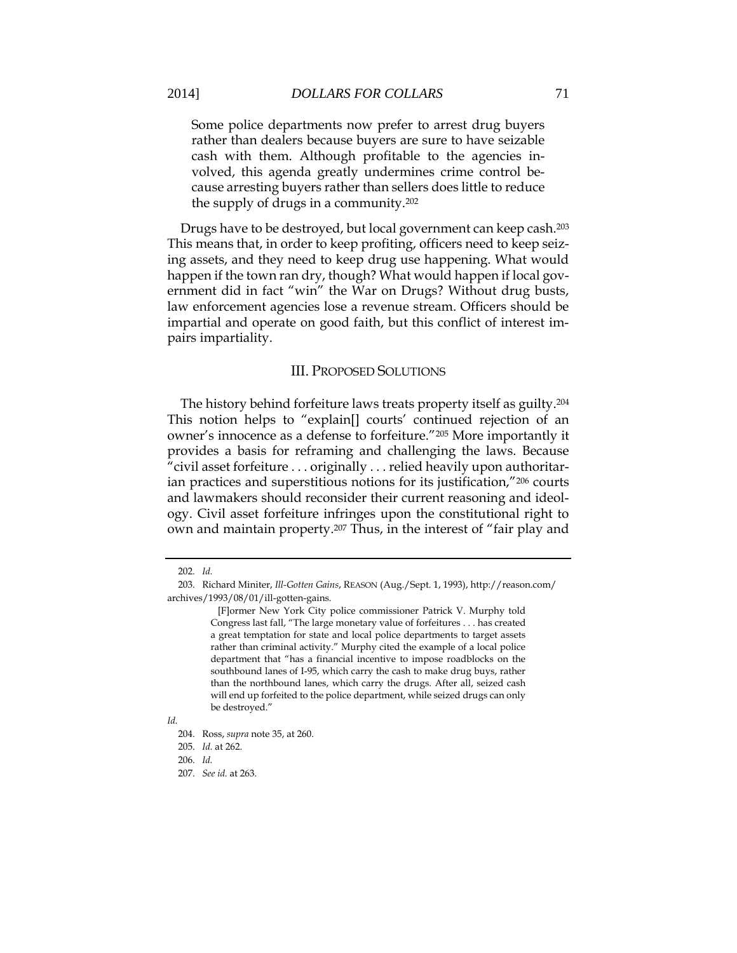Some police departments now prefer to arrest drug buyers rather than dealers because buyers are sure to have seizable cash with them. Although profitable to the agencies involved, this agenda greatly undermines crime control because arresting buyers rather than sellers does little to reduce the supply of drugs in a community.<sup>202</sup>

Drugs have to be destroyed, but local government can keep cash.<sup>203</sup> This means that, in order to keep profiting, officers need to keep seizing assets, and they need to keep drug use happening. What would happen if the town ran dry, though? What would happen if local government did in fact "win" the War on Drugs? Without drug busts, law enforcement agencies lose a revenue stream. Officers should be impartial and operate on good faith, but this conflict of interest impairs impartiality.

#### III. PROPOSED SOLUTIONS

The history behind forfeiture laws treats property itself as guilty.<sup>204</sup> This notion helps to "explain[] courts' continued rejection of an owner's innocence as a defense to forfeiture."<sup>205</sup> More importantly it provides a basis for reframing and challenging the laws. Because "civil asset forfeiture . . . originally . . . relied heavily upon authoritarian practices and superstitious notions for its justification,"<sup>206</sup> courts and lawmakers should reconsider their current reasoning and ideology. Civil asset forfeiture infringes upon the constitutional right to own and maintain property.<sup>207</sup> Thus, in the interest of "fair play and

<sup>202.</sup> *Id.*

<sup>203.</sup> Richard Miniter, *Ill-Gotten Gains*, REASON (Aug./Sept. 1, 1993), http://reason.com/ archives/1993/08/01/ill-gotten-gains.

 <sup>[</sup>F]ormer New York City police commissioner Patrick V. Murphy told Congress last fall, "The large monetary value of forfeitures . . . has created a great temptation for state and local police departments to target assets rather than criminal activity." Murphy cited the example of a local police department that "has a financial incentive to impose roadblocks on the southbound lanes of I-95, which carry the cash to make drug buys, rather than the northbound lanes, which carry the drugs. After all, seized cash will end up forfeited to the police department, while seized drugs can only be destroyed."

*Id.*

<sup>204.</sup> Ross, *supra* note 35, at 260.

<sup>205.</sup> *Id.* at 262.

<sup>206.</sup> *Id.*

<sup>207.</sup> *See id.* at 263.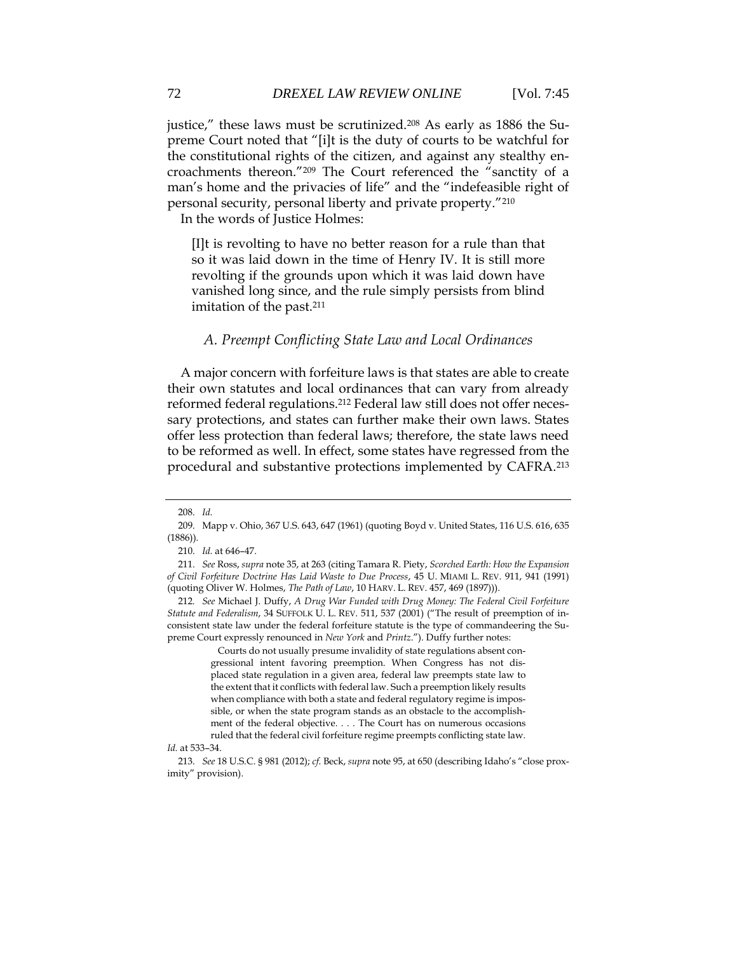preme Court noted that "[i]t is the duty of courts to be watchful for the constitutional rights of the citizen, and against any stealthy encroachments thereon."<sup>209</sup> The Court referenced the "sanctity of a man's home and the privacies of life" and the "indefeasible right of personal security, personal liberty and private property."<sup>210</sup>

In the words of Justice Holmes:

[I]t is revolting to have no better reason for a rule than that so it was laid down in the time of Henry IV. It is still more revolting if the grounds upon which it was laid down have vanished long since, and the rule simply persists from blind imitation of the past.<sup>211</sup>

#### *A. Preempt Conflicting State Law and Local Ordinances*

A major concern with forfeiture laws is that states are able to create their own statutes and local ordinances that can vary from already reformed federal regulations.<sup>212</sup> Federal law still does not offer necessary protections, and states can further make their own laws. States offer less protection than federal laws; therefore, the state laws need to be reformed as well. In effect, some states have regressed from the procedural and substantive protections implemented by CAFRA.<sup>213</sup>

 Courts do not usually presume invalidity of state regulations absent congressional intent favoring preemption. When Congress has not displaced state regulation in a given area, federal law preempts state law to the extent that it conflicts with federal law. Such a preemption likely results when compliance with both a state and federal regulatory regime is impossible, or when the state program stands as an obstacle to the accomplishment of the federal objective. . . . The Court has on numerous occasions ruled that the federal civil forfeiture regime preempts conflicting state law.

<sup>208.</sup> *Id.*

<sup>209.</sup> Mapp v. Ohio, 367 U.S. 643, 647 (1961) (quoting Boyd v. United States, 116 U.S. 616, 635 (1886)).

<sup>210.</sup> *Id.* at 646–47.

<sup>211.</sup> *See* Ross, *supra* note 35, at 263 (citing Tamara R. Piety, *Scorched Earth: How the Expansion of Civil Forfeiture Doctrine Has Laid Waste to Due Process*, 45 U. MIAMI L. REV. 911, 941 (1991) (quoting Oliver W. Holmes, *The Path of Law*, 10 HARV. L. REV. 457, 469 (1897))).

<sup>212</sup>*. See* Michael J. Duffy, *A Drug War Funded with Drug Money: The Federal Civil Forfeiture Statute and Federalism*, 34 SUFFOLK U. L. REV. 511, 537 (2001) ("The result of preemption of inconsistent state law under the federal forfeiture statute is the type of commandeering the Supreme Court expressly renounced in *New York* and *Printz*."). Duffy further notes:

*Id.* at 533–34.

<sup>213.</sup> *See* 18 U.S.C. § 981 (2012); *cf*. Beck, *supra* note 95, at 650 (describing Idaho's "close proximity" provision).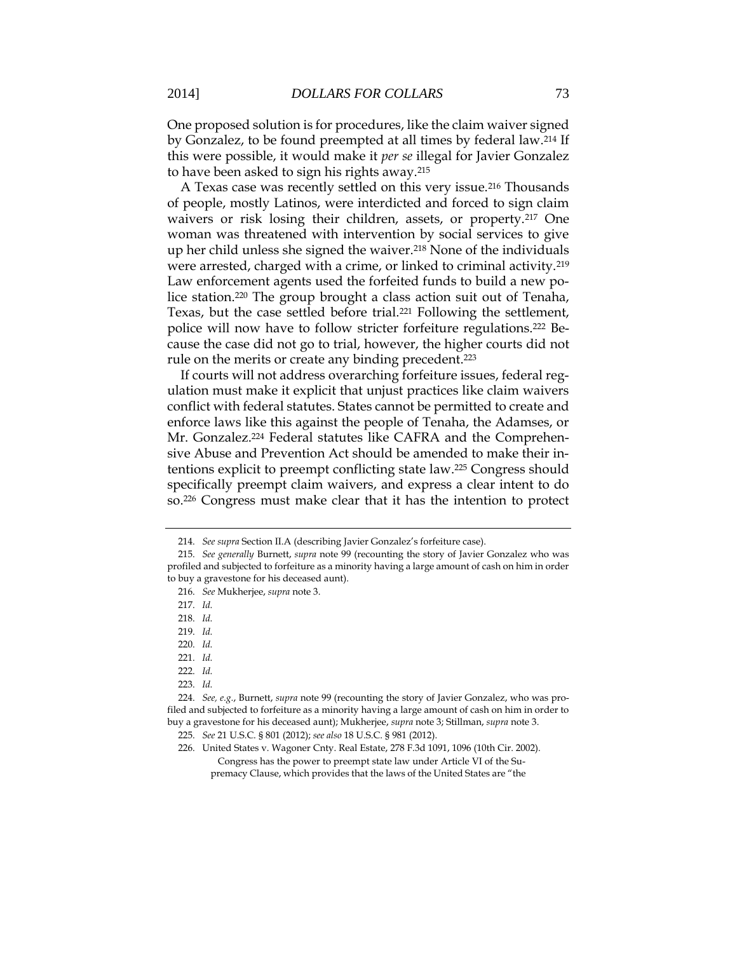One proposed solution is for procedures, like the claim waiver signed by Gonzalez, to be found preempted at all times by federal law.<sup>214</sup> If this were possible, it would make it *per se* illegal for Javier Gonzalez to have been asked to sign his rights away.<sup>215</sup>

A Texas case was recently settled on this very issue.<sup>216</sup> Thousands of people, mostly Latinos, were interdicted and forced to sign claim waivers or risk losing their children, assets, or property.<sup>217</sup> One woman was threatened with intervention by social services to give up her child unless she signed the waiver.<sup>218</sup> None of the individuals were arrested, charged with a crime, or linked to criminal activity.<sup>219</sup> Law enforcement agents used the forfeited funds to build a new police station.<sup>220</sup> The group brought a class action suit out of Tenaha, Texas, but the case settled before trial.<sup>221</sup> Following the settlement, police will now have to follow stricter forfeiture regulations.<sup>222</sup> Because the case did not go to trial, however, the higher courts did not rule on the merits or create any binding precedent.<sup>223</sup>

If courts will not address overarching forfeiture issues, federal regulation must make it explicit that unjust practices like claim waivers conflict with federal statutes. States cannot be permitted to create and enforce laws like this against the people of Tenaha, the Adamses, or Mr. Gonzalez. <sup>224</sup> Federal statutes like CAFRA and the Comprehensive Abuse and Prevention Act should be amended to make their intentions explicit to preempt conflicting state law.<sup>225</sup> Congress should specifically preempt claim waivers, and express a clear intent to do so.<sup>226</sup> Congress must make clear that it has the intention to protect

223. *Id.*

<sup>214.</sup> *See supra* Section II.A (describing Javier Gonzalez's forfeiture case).

<sup>215.</sup> *See generally* Burnett, *supra* note 99 (recounting the story of Javier Gonzalez who was profiled and subjected to forfeiture as a minority having a large amount of cash on him in order to buy a gravestone for his deceased aunt).

<sup>216.</sup> *See* Mukherjee, *supra* note 3.

<sup>217.</sup> *Id.*

<sup>218.</sup> *Id.*

<sup>219.</sup> *Id.*

<sup>220.</sup> *Id.*

<sup>221.</sup> *Id.*

<sup>222.</sup> *Id.*

<sup>224.</sup> *See, e.g.*, Burnett, *supra* note 99 (recounting the story of Javier Gonzalez, who was profiled and subjected to forfeiture as a minority having a large amount of cash on him in order to buy a gravestone for his deceased aunt); Mukherjee, *supra* note 3; Stillman, *supra* note 3.

<sup>225.</sup> *See* 21 U.S.C. § 801 (2012); *see also* 18 U.S.C. § 981 (2012).

<sup>226.</sup> United States v. Wagoner Cnty. Real Estate, 278 F.3d 1091, 1096 (10th Cir. 2002). Congress has the power to preempt state law under Article VI of the Supremacy Clause, which provides that the laws of the United States are "the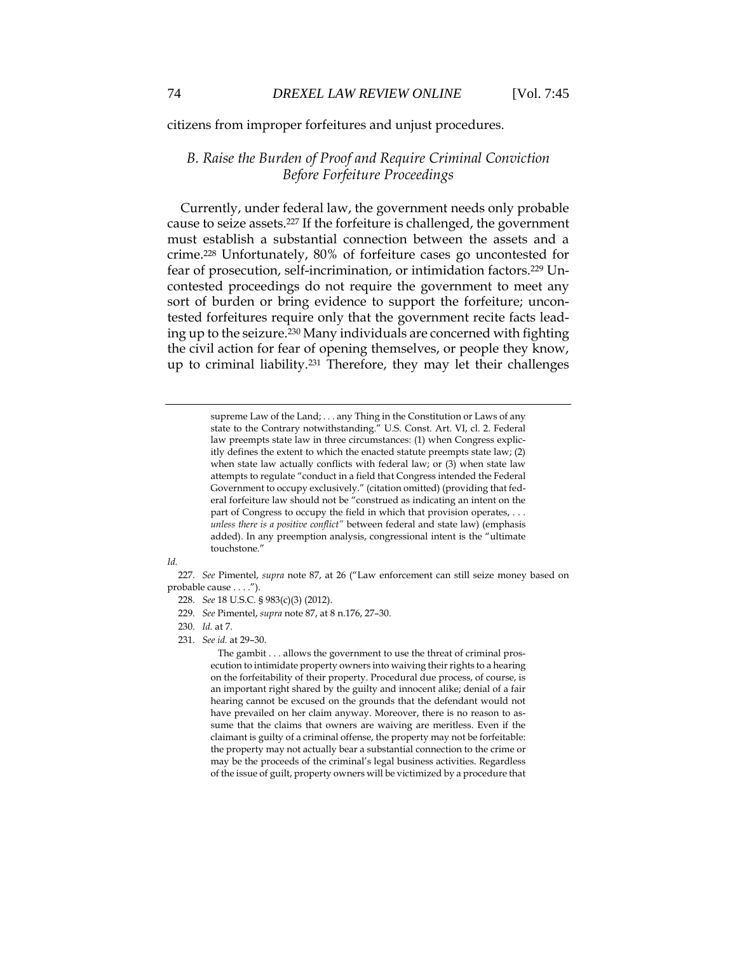citizens from improper forfeitures and unjust procedures.

## *B. Raise the Burden of Proof and Require Criminal Conviction Before Forfeiture Proceedings*

Currently, under federal law, the government needs only probable cause to seize assets.<sup>227</sup> If the forfeiture is challenged, the government must establish a substantial connection between the assets and a crime.<sup>228</sup> Unfortunately, 80% of forfeiture cases go uncontested for fear of prosecution, self-incrimination, or intimidation factors.<sup>229</sup> Uncontested proceedings do not require the government to meet any sort of burden or bring evidence to support the forfeiture; uncontested forfeitures require only that the government recite facts leading up to the seizure.<sup>230</sup> Many individuals are concerned with fighting the civil action for fear of opening themselves, or people they know, up to criminal liability.<sup>231</sup> Therefore, they may let their challenges

> supreme Law of the Land; . . . any Thing in the Constitution or Laws of any state to the Contrary notwithstanding." U.S. Const. Art. VI, cl. 2. Federal law preempts state law in three circumstances: (1) when Congress explicitly defines the extent to which the enacted statute preempts state law; (2) when state law actually conflicts with federal law; or (3) when state law attempts to regulate "conduct in a field that Congress intended the Federal Government to occupy exclusively." (citation omitted) (providing that federal forfeiture law should not be "construed as indicating an intent on the part of Congress to occupy the field in which that provision operates, . . . *unless there is a positive conflict"* between federal and state law) (emphasis added). In any preemption analysis, congressional intent is the "ultimate touchstone."

*Id.*

227. *See* Pimentel, *supra* note 87, at 26 ("Law enforcement can still seize money based on probable cause . . . .").

- 228. *See* 18 U.S.C. § 983(c)(3) (2012).
- 229. *See* Pimentel, *supra* note 87, at 8 n.176, 27–30.
- 230. *Id.* at 7.
- 231. *See id.* at 29–30.

 The gambit . . . allows the government to use the threat of criminal prosecution to intimidate property owners into waiving their rights to a hearing on the forfeitability of their property. Procedural due process, of course, is an important right shared by the guilty and innocent alike; denial of a fair hearing cannot be excused on the grounds that the defendant would not have prevailed on her claim anyway. Moreover, there is no reason to assume that the claims that owners are waiving are meritless. Even if the claimant is guilty of a criminal offense, the property may not be forfeitable: the property may not actually bear a substantial connection to the crime or may be the proceeds of the criminal's legal business activities. Regardless of the issue of guilt, property owners will be victimized by a procedure that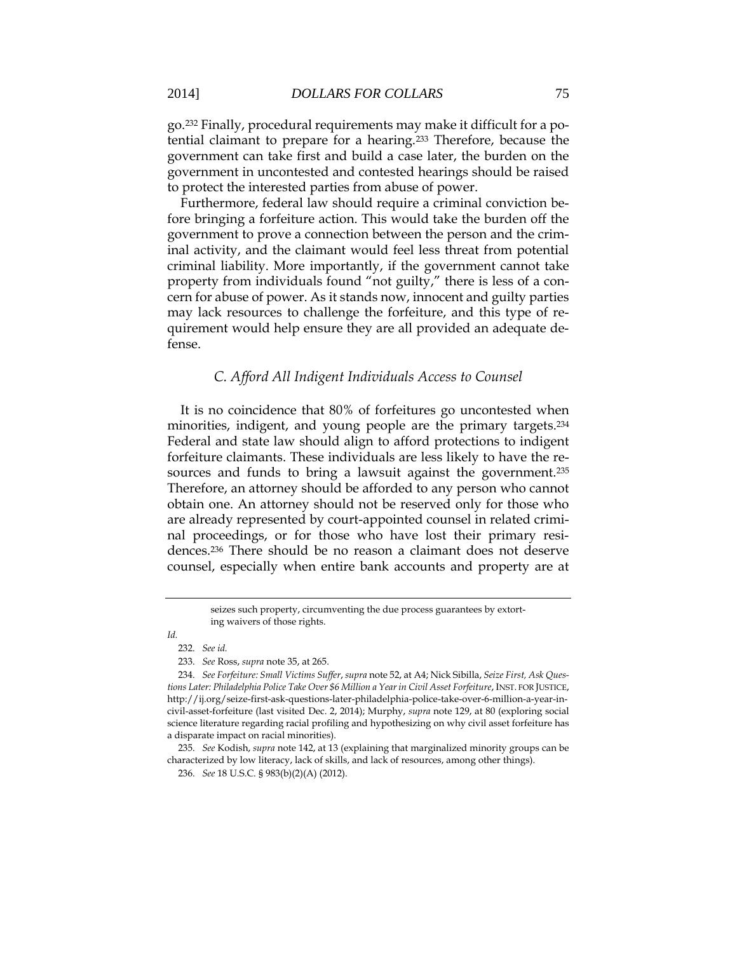go.<sup>232</sup> Finally, procedural requirements may make it difficult for a potential claimant to prepare for a hearing.<sup>233</sup> Therefore, because the government can take first and build a case later, the burden on the government in uncontested and contested hearings should be raised to protect the interested parties from abuse of power.

Furthermore, federal law should require a criminal conviction before bringing a forfeiture action. This would take the burden off the government to prove a connection between the person and the criminal activity, and the claimant would feel less threat from potential criminal liability. More importantly, if the government cannot take property from individuals found "not guilty," there is less of a concern for abuse of power. As it stands now, innocent and guilty parties may lack resources to challenge the forfeiture, and this type of requirement would help ensure they are all provided an adequate defense.

### *C. Afford All Indigent Individuals Access to Counsel*

It is no coincidence that 80% of forfeitures go uncontested when minorities, indigent, and young people are the primary targets. 234 Federal and state law should align to afford protections to indigent forfeiture claimants. These individuals are less likely to have the resources and funds to bring a lawsuit against the government.<sup>235</sup> Therefore, an attorney should be afforded to any person who cannot obtain one. An attorney should not be reserved only for those who are already represented by court-appointed counsel in related criminal proceedings, or for those who have lost their primary residences.<sup>236</sup> There should be no reason a claimant does not deserve counsel, especially when entire bank accounts and property are at

seizes such property, circumventing the due process guarantees by extorting waivers of those rights.

*Id.* 232. *See id.*

<sup>233.</sup> *See* Ross, *supra* note 35, at 265.

<sup>234.</sup> *See Forfeiture: Small Victims Suffer*, *supra* note 52, at A4; Nick Sibilla, *Seize First, Ask Questions Later: Philadelphia Police Take Over \$6 Million a Year in Civil Asset Forfeiture*, INST. FOR JUSTICE, http://ij.org/seize-first-ask-questions-later-philadelphia-police-take-over-6-million-a-year-incivil-asset-forfeiture (last visited Dec. 2, 2014); Murphy, *supra* note 129, at 80 (exploring social science literature regarding racial profiling and hypothesizing on why civil asset forfeiture has a disparate impact on racial minorities).

<sup>235.</sup> *See* Kodish, *supra* note 142, at 13 (explaining that marginalized minority groups can be characterized by low literacy, lack of skills, and lack of resources, among other things).

<sup>236.</sup> *See* 18 U.S.C. § 983(b)(2)(A) (2012).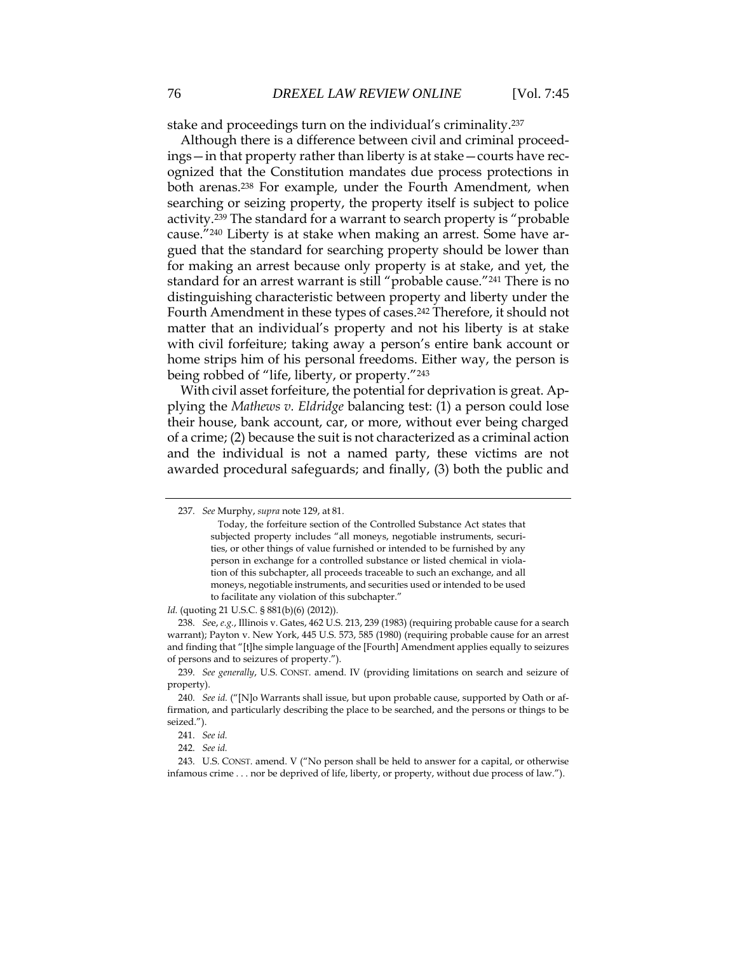stake and proceedings turn on the individual's criminality.<sup>237</sup>

Although there is a difference between civil and criminal proceedings—in that property rather than liberty is at stake—courts have recognized that the Constitution mandates due process protections in both arenas.<sup>238</sup> For example, under the Fourth Amendment, when searching or seizing property, the property itself is subject to police activity.<sup>239</sup> The standard for a warrant to search property is "probable cause."<sup>240</sup> Liberty is at stake when making an arrest. Some have argued that the standard for searching property should be lower than for making an arrest because only property is at stake, and yet, the standard for an arrest warrant is still "probable cause."<sup>241</sup> There is no distinguishing characteristic between property and liberty under the Fourth Amendment in these types of cases.<sup>242</sup> Therefore, it should not matter that an individual's property and not his liberty is at stake with civil forfeiture; taking away a person's entire bank account or home strips him of his personal freedoms. Either way, the person is being robbed of "life, liberty, or property."<sup>243</sup>

With civil asset forfeiture, the potential for deprivation is great. Applying the *Mathews v. Eldridge* balancing test: (1) a person could lose their house, bank account, car, or more, without ever being charged of a crime; (2) because the suit is not characterized as a criminal action and the individual is not a named party, these victims are not awarded procedural safeguards; and finally, (3) both the public and

*Id.* (quoting 21 U.S.C. § 881(b)(6) (2012)).

238. *Se*e, *e.g.*, Illinois v. Gates, 462 U.S. 213, 239 (1983) (requiring probable cause for a search warrant); Payton v. New York, 445 U.S. 573, 585 (1980) (requiring probable cause for an arrest and finding that "[t]he simple language of the [Fourth] Amendment applies equally to seizures of persons and to seizures of property.").

239. *See generally*, U.S. CONST. amend. IV (providing limitations on search and seizure of property).

<sup>237.</sup> *See* Murphy, *supra* note 129, at 81.

Today, the forfeiture section of the Controlled Substance Act states that subjected property includes "all moneys, negotiable instruments, securities, or other things of value furnished or intended to be furnished by any person in exchange for a controlled substance or listed chemical in violation of this subchapter, all proceeds traceable to such an exchange, and all moneys, negotiable instruments, and securities used or intended to be used to facilitate any violation of this subchapter."

<sup>240.</sup> *See id.* ("[N]o Warrants shall issue, but upon probable cause, supported by Oath or affirmation, and particularly describing the place to be searched, and the persons or things to be seized.").

<sup>241.</sup> *See id.*

<sup>242.</sup> *See id.*

<sup>243.</sup> U.S. CONST. amend. V ("No person shall be held to answer for a capital, or otherwise infamous crime . . . nor be deprived of life, liberty, or property, without due process of law.").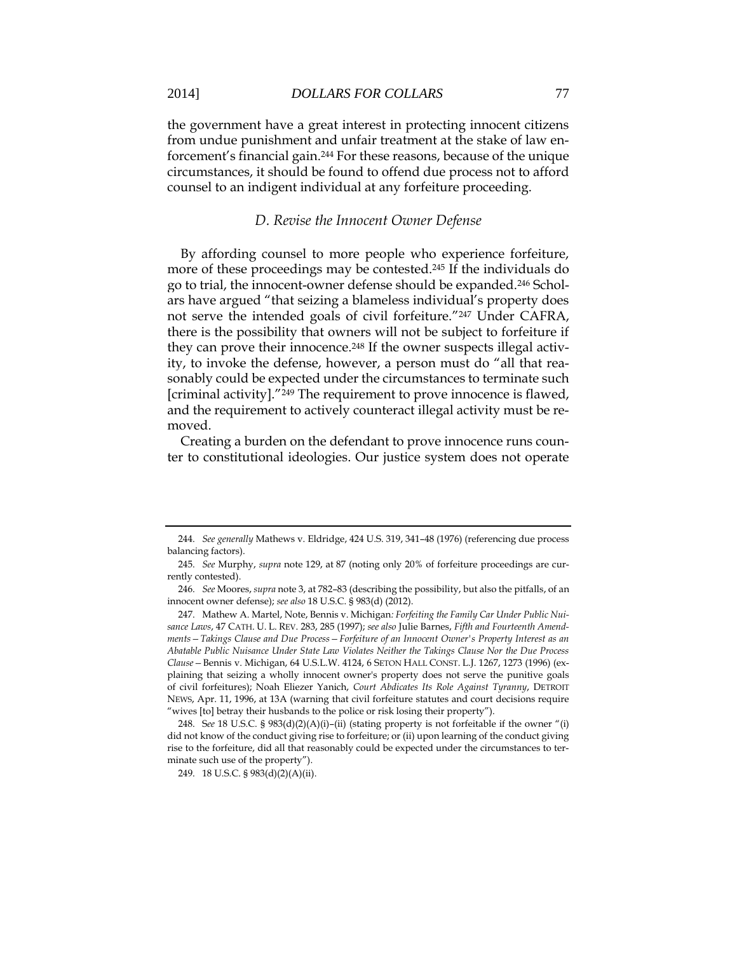the government have a great interest in protecting innocent citizens from undue punishment and unfair treatment at the stake of law enforcement's financial gain.<sup>244</sup> For these reasons, because of the unique circumstances, it should be found to offend due process not to afford counsel to an indigent individual at any forfeiture proceeding.

### *D. Revise the Innocent Owner Defense*

By affording counsel to more people who experience forfeiture, more of these proceedings may be contested.<sup>245</sup> If the individuals do go to trial, the innocent-owner defense should be expanded.<sup>246</sup> Scholars have argued "that seizing a blameless individual's property does not serve the intended goals of civil forfeiture."<sup>247</sup> Under CAFRA, there is the possibility that owners will not be subject to forfeiture if they can prove their innocence.<sup>248</sup> If the owner suspects illegal activity, to invoke the defense, however, a person must do "all that reasonably could be expected under the circumstances to terminate such [criminal activity]."<sup>249</sup> The requirement to prove innocence is flawed, and the requirement to actively counteract illegal activity must be removed.

Creating a burden on the defendant to prove innocence runs counter to constitutional ideologies. Our justice system does not operate

<sup>244.</sup> *See generally* Mathews v. Eldridge, 424 U.S. 319, 341–48 (1976) (referencing due process balancing factors).

<sup>245.</sup> *See* Murphy, *supra* note 129, at 87 (noting only 20% of forfeiture proceedings are currently contested).

<sup>246.</sup> *See* Moores, *supra* note 3, at 782–83 (describing the possibility, but also the pitfalls, of an innocent owner defense); *see also* 18 U.S.C. § 983(d) (2012).

<sup>247.</sup> Mathew A. Martel, Note, Bennis v. Michigan*: Forfeiting the Family Car Under Public Nuisance Laws*, 47 CATH. U. L. REV. 283, 285 (1997); *see also* Julie Barnes, *Fifth and Fourteenth Amendments—Takings Clause and Due Process—Forfeiture of an Innocent Owner's Property Interest as an Abatable Public Nuisance Under State Law Violates Neither the Takings Clause Nor the Due Process Clause—*Bennis v. Michigan, 64 U.S.L.W. 4124, 6 SETON HALL CONST. L.J. 1267, 1273 (1996) (explaining that seizing a wholly innocent owner's property does not serve the punitive goals of civil forfeitures); Noah Eliezer Yanich, *Court Abdicates Its Role Against Tyranny*, DETROIT NEWS, Apr. 11, 1996, at 13A (warning that civil forfeiture statutes and court decisions require "wives [to] betray their husbands to the police or risk losing their property").

<sup>248.</sup> S*ee* 18 U.S.C. § 983(d)(2)(A)(i)–(ii) (stating property is not forfeitable if the owner "(i) did not know of the conduct giving rise to forfeiture; or (ii) upon learning of the conduct giving rise to the forfeiture, did all that reasonably could be expected under the circumstances to terminate such use of the property").

<sup>249.</sup> 18 U.S.C. § 983(d)(2)(A)(ii).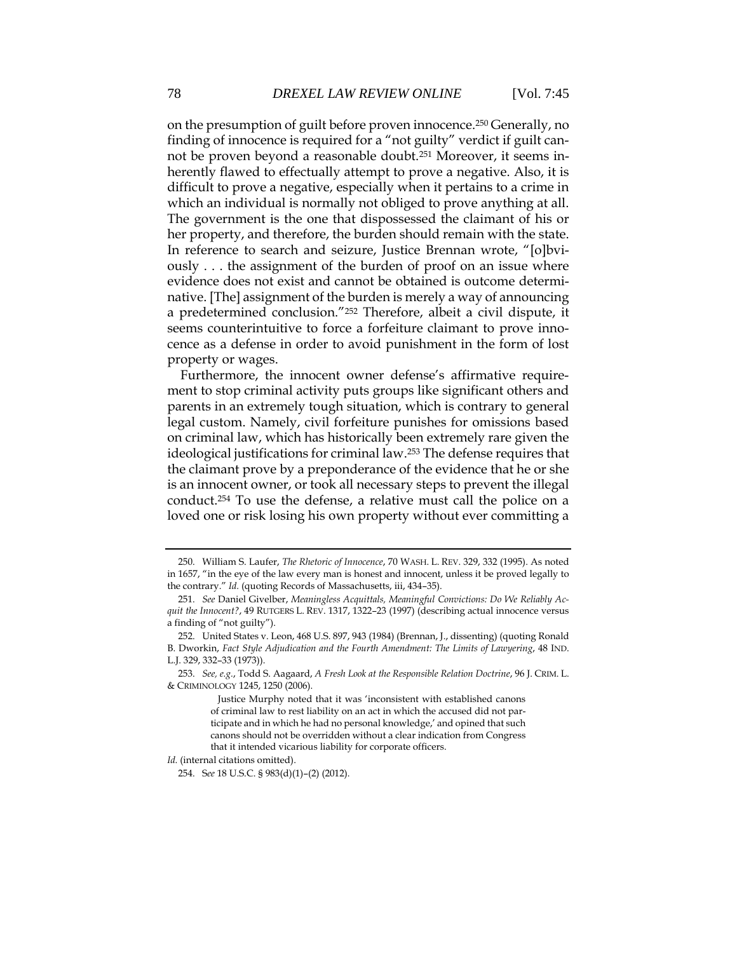on the presumption of guilt before proven innocence.<sup>250</sup> Generally, no finding of innocence is required for a "not guilty" verdict if guilt cannot be proven beyond a reasonable doubt.<sup>251</sup> Moreover, it seems inherently flawed to effectually attempt to prove a negative. Also, it is difficult to prove a negative, especially when it pertains to a crime in which an individual is normally not obliged to prove anything at all. The government is the one that dispossessed the claimant of his or her property, and therefore, the burden should remain with the state. In reference to search and seizure, Justice Brennan wrote, "[o]bviously . . . the assignment of the burden of proof on an issue where evidence does not exist and cannot be obtained is outcome determinative. [The] assignment of the burden is merely a way of announcing a predetermined conclusion."<sup>252</sup> Therefore, albeit a civil dispute, it seems counterintuitive to force a forfeiture claimant to prove innocence as a defense in order to avoid punishment in the form of lost property or wages.

Furthermore, the innocent owner defense's affirmative requirement to stop criminal activity puts groups like significant others and parents in an extremely tough situation, which is contrary to general legal custom. Namely, civil forfeiture punishes for omissions based on criminal law, which has historically been extremely rare given the ideological justifications for criminal law.<sup>253</sup> The defense requires that the claimant prove by a preponderance of the evidence that he or she is an innocent owner, or took all necessary steps to prevent the illegal conduct.<sup>254</sup> To use the defense, a relative must call the police on a loved one or risk losing his own property without ever committing a

254. S*ee* 18 U.S.C. § 983(d)(1)–(2) (2012).

<sup>250.</sup> William S. Laufer, *The Rhetoric of Innocence*, 70 WASH. L. REV. 329, 332 (1995). As noted in 1657, "in the eye of the law every man is honest and innocent, unless it be proved legally to the contrary." *Id.* (quoting Records of Massachusetts, iii, 434–35).

<sup>251.</sup> *See* Daniel Givelber, *Meaningless Acquittals, Meaningful Convictions: Do We Reliably Acquit the Innocent?*, 49 RUTGERS L. REV. 1317, 1322–23 (1997) (describing actual innocence versus a finding of "not guilty").

<sup>252.</sup> United States v. Leon, 468 U.S. 897, 943 (1984) (Brennan, J., dissenting) (quoting Ronald B. Dworkin, *Fact Style Adjudication and the Fourth Amendment: The Limits of Lawyering*, 48 IND. L.J. 329, 332–33 (1973)).

<sup>253.</sup> *See, e.g.*, Todd S. Aagaard, *A Fresh Look at the Responsible Relation Doctrine*, 96 J. CRIM. L. & CRIMINOLOGY 1245, 1250 (2006).

Justice Murphy noted that it was 'inconsistent with established canons of criminal law to rest liability on an act in which the accused did not participate and in which he had no personal knowledge,' and opined that such canons should not be overridden without a clear indication from Congress that it intended vicarious liability for corporate officers.

*Id.* (internal citations omitted).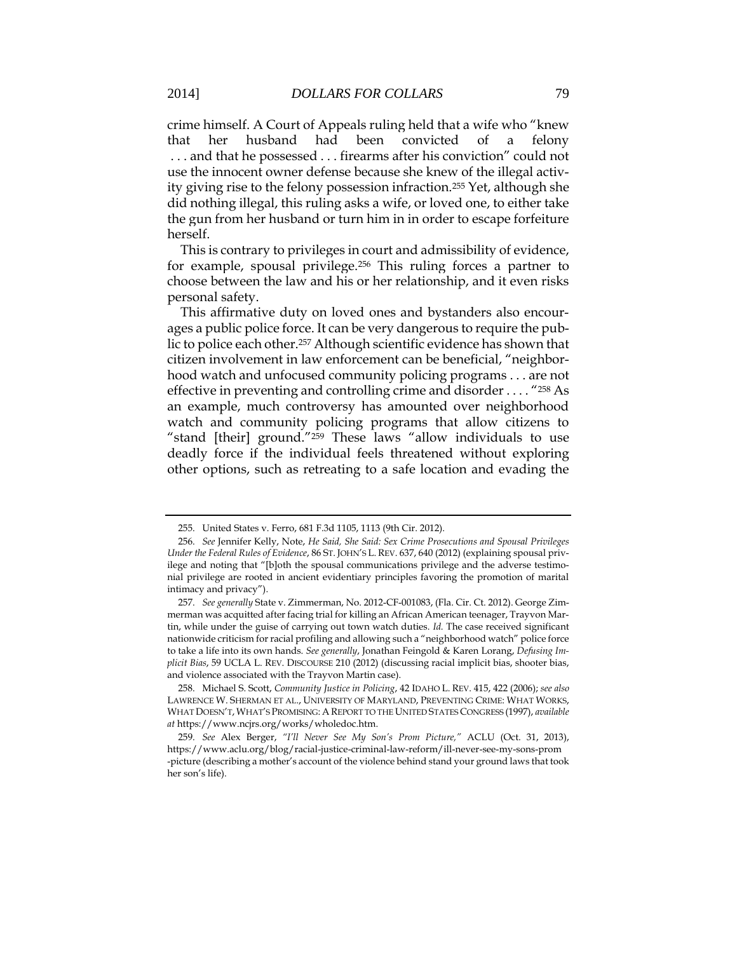crime himself. A Court of Appeals ruling held that a wife who "knew that her husband had been convicted of a felony . . . and that he possessed . . . firearms after his conviction" could not use the innocent owner defense because she knew of the illegal activity giving rise to the felony possession infraction.<sup>255</sup> Yet, although she did nothing illegal, this ruling asks a wife, or loved one, to either take the gun from her husband or turn him in in order to escape forfeiture herself.

This is contrary to privileges in court and admissibility of evidence, for example, spousal privilege.<sup>256</sup> This ruling forces a partner to choose between the law and his or her relationship, and it even risks personal safety.

This affirmative duty on loved ones and bystanders also encourages a public police force. It can be very dangerous to require the public to police each other.<sup>257</sup> Although scientific evidence has shown that citizen involvement in law enforcement can be beneficial, "neighborhood watch and unfocused community policing programs . . . are not effective in preventing and controlling crime and disorder . . . . "<sup>258</sup> As an example, much controversy has amounted over neighborhood watch and community policing programs that allow citizens to "stand [their] ground."<sup>259</sup> These laws "allow individuals to use deadly force if the individual feels threatened without exploring other options, such as retreating to a safe location and evading the

<sup>255.</sup> United States v. Ferro, 681 F.3d 1105, 1113 (9th Cir. 2012).

<sup>256.</sup> *See* Jennifer Kelly, Note, *He Said, She Said: Sex Crime Prosecutions and Spousal Privileges Under the Federal Rules of Evidence*, 86 ST. JOHN'S L. REV. 637, 640 (2012) (explaining spousal privilege and noting that "[b]oth the spousal communications privilege and the adverse testimonial privilege are rooted in ancient evidentiary principles favoring the promotion of marital intimacy and privacy").

<sup>257.</sup> *See generally* State v. Zimmerman, No. 2012-CF-001083, (Fla. Cir. Ct. 2012). George Zimmerman was acquitted after facing trial for killing an African American teenager, Trayvon Martin, while under the guise of carrying out town watch duties. *Id.* The case received significant nationwide criticism for racial profiling and allowing such a "neighborhood watch" police force to take a life into its own hands. *See generally*, Jonathan Feingold & Karen Lorang, *Defusing Implicit Bias*, 59 UCLA L. REV. DISCOURSE 210 (2012) (discussing racial implicit bias, shooter bias, and violence associated with the Trayvon Martin case).

<sup>258.</sup> Michael S. Scott, *Community Justice in Policing*, 42 IDAHO L. REV. 415, 422 (2006); *see also* LAWRENCE W. SHERMAN ET AL., UNIVERSITY OF MARYLAND, PREVENTING CRIME: WHAT WORKS, WHAT DOESN'T, WHAT'S PROMISING: A REPORT TO THE UNITED STATES CONGRESS (1997), *available at* https://www.ncjrs.org/works/wholedoc.htm.

<sup>259.</sup> *See* Alex Berger, *"I'll Never See My Son's Prom Picture,"* ACLU (Oct. 31, 2013), https://www.aclu.org/blog/racial-justice-criminal-law-reform/ill-never-see-my-sons-prom -picture (describing a mother's account of the violence behind stand your ground laws that took her son's life).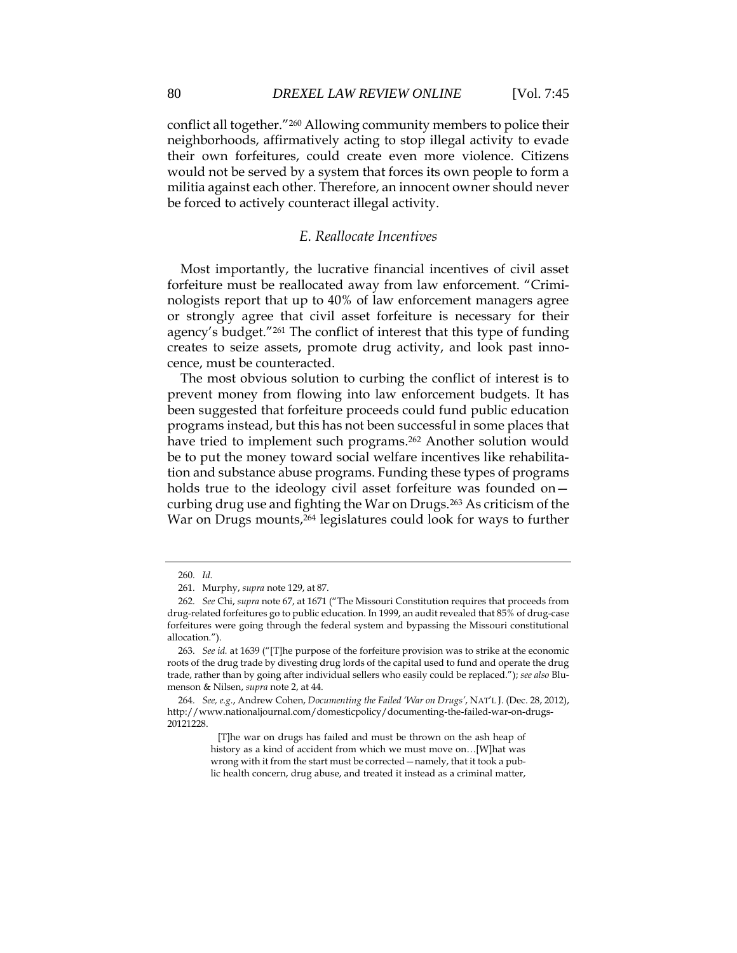conflict all together."<sup>260</sup> Allowing community members to police their neighborhoods, affirmatively acting to stop illegal activity to evade their own forfeitures, could create even more violence. Citizens would not be served by a system that forces its own people to form a militia against each other. Therefore, an innocent owner should never be forced to actively counteract illegal activity.

### *E. Reallocate Incentives*

Most importantly, the lucrative financial incentives of civil asset forfeiture must be reallocated away from law enforcement. "Criminologists report that up to 40% of law enforcement managers agree or strongly agree that civil asset forfeiture is necessary for their agency's budget."<sup>261</sup> The conflict of interest that this type of funding creates to seize assets, promote drug activity, and look past innocence, must be counteracted.

The most obvious solution to curbing the conflict of interest is to prevent money from flowing into law enforcement budgets. It has been suggested that forfeiture proceeds could fund public education programs instead, but this has not been successful in some places that have tried to implement such programs.<sup>262</sup> Another solution would be to put the money toward social welfare incentives like rehabilitation and substance abuse programs. Funding these types of programs holds true to the ideology civil asset forfeiture was founded oncurbing drug use and fighting the War on Drugs.<sup>263</sup> As criticism of the War on Drugs mounts,<sup>264</sup> legislatures could look for ways to further

<sup>260.</sup> *Id.*

<sup>261.</sup> Murphy, *supra* note 129, at 87.

<sup>262.</sup> *See* Chi, *supra* note 67, at 1671 ("The Missouri Constitution requires that proceeds from drug-related forfeitures go to public education. In 1999, an audit revealed that 85% of drug-case forfeitures were going through the federal system and bypassing the Missouri constitutional allocation.").

<sup>263.</sup> *See id.* at 1639 ("[T]he purpose of the forfeiture provision was to strike at the economic roots of the drug trade by divesting drug lords of the capital used to fund and operate the drug trade, rather than by going after individual sellers who easily could be replaced."); *see also* Blumenson & Nilsen, *supra* note 2, at 44.

<sup>264.</sup> *See, e.g.*, Andrew Cohen, *Documenting the Failed 'War on Drugs'*, NAT'L J. (Dec. 28, 2012), http://www.nationaljournal.com/domesticpolicy/documenting-the-failed-war-on-drugs-20121228.

 <sup>[</sup>T]he war on drugs has failed and must be thrown on the ash heap of history as a kind of accident from which we must move on…[W]hat was wrong with it from the start must be corrected—namely, that it took a public health concern, drug abuse, and treated it instead as a criminal matter,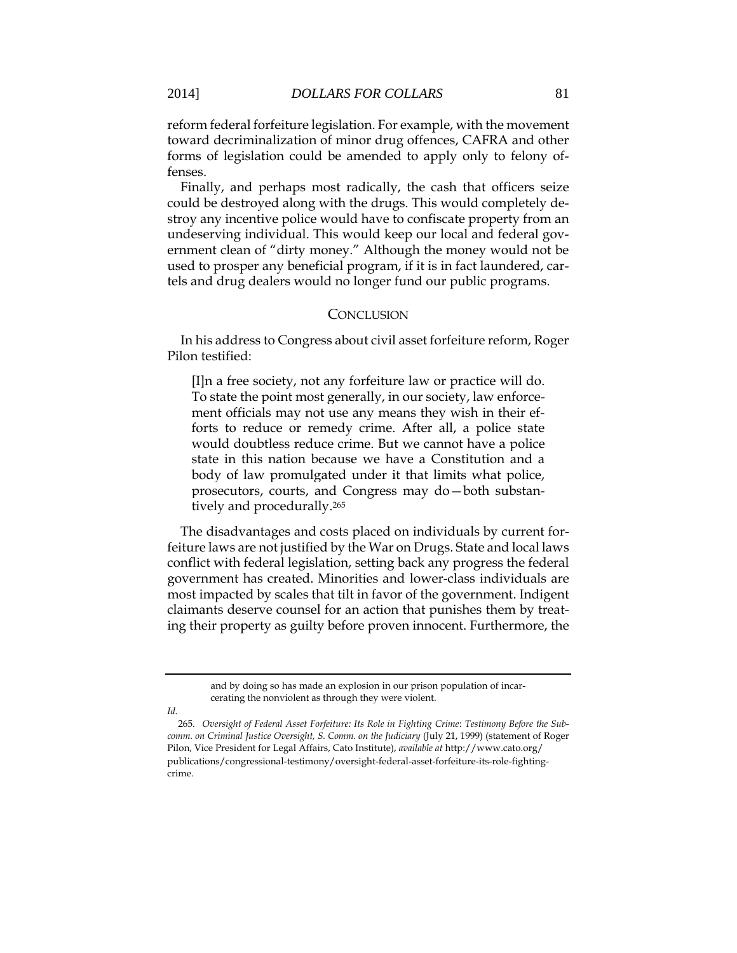reform federal forfeiture legislation. For example, with the movement toward decriminalization of minor drug offences, CAFRA and other forms of legislation could be amended to apply only to felony offenses.

Finally, and perhaps most radically, the cash that officers seize could be destroyed along with the drugs. This would completely destroy any incentive police would have to confiscate property from an undeserving individual. This would keep our local and federal government clean of "dirty money." Although the money would not be used to prosper any beneficial program, if it is in fact laundered, cartels and drug dealers would no longer fund our public programs.

#### **CONCLUSION**

In his address to Congress about civil asset forfeiture reform, Roger Pilon testified:

[I]n a free society, not any forfeiture law or practice will do. To state the point most generally, in our society, law enforcement officials may not use any means they wish in their efforts to reduce or remedy crime. After all, a police state would doubtless reduce crime. But we cannot have a police state in this nation because we have a Constitution and a body of law promulgated under it that limits what police, prosecutors, courts, and Congress may do—both substantively and procedurally.<sup>265</sup>

The disadvantages and costs placed on individuals by current forfeiture laws are not justified by the War on Drugs. State and local laws conflict with federal legislation, setting back any progress the federal government has created. Minorities and lower-class individuals are most impacted by scales that tilt in favor of the government. Indigent claimants deserve counsel for an action that punishes them by treating their property as guilty before proven innocent. Furthermore, the

and by doing so has made an explosion in our prison population of incarcerating the nonviolent as through they were violent.

*Id.*

<sup>265.</sup> *Oversight of Federal Asset Forfeiture: Its Role in Fighting Crime*: *Testimony Before the Subcomm. on Criminal Justice Oversight, S. Comm. on the Judiciary* (July 21, 1999) (statement of Roger Pilon, Vice President for Legal Affairs, Cato Institute), *available at* http://www.cato.org/ publications/congressional-testimony/oversight-federal-asset-forfeiture-its-role-fightingcrime.